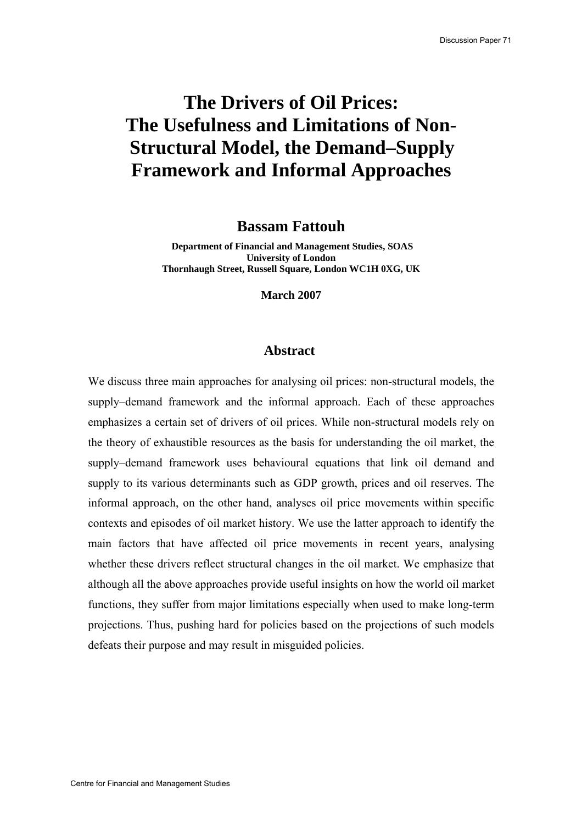# **The Drivers of Oil Prices: The Usefulness and Limitations of Non-Structural Model, the Demand–Supply Framework and Informal Approaches**

**Bassam Fattouh** 

 **Department of Financial and Management Studies, SOAS University of London Thornhaugh Street, Russell Square, London WC1H 0XG, UK** 

**March 2007** 

#### **Abstract**

We discuss three main approaches for analysing oil prices: non-structural models, the supply–demand framework and the informal approach. Each of these approaches emphasizes a certain set of drivers of oil prices. While non-structural models rely on the theory of exhaustible resources as the basis for understanding the oil market, the supply–demand framework uses behavioural equations that link oil demand and supply to its various determinants such as GDP growth, prices and oil reserves. The informal approach, on the other hand, analyses oil price movements within specific contexts and episodes of oil market history. We use the latter approach to identify the main factors that have affected oil price movements in recent years, analysing whether these drivers reflect structural changes in the oil market. We emphasize that although all the above approaches provide useful insights on how the world oil market functions, they suffer from major limitations especially when used to make long-term projections. Thus, pushing hard for policies based on the projections of such models defeats their purpose and may result in misguided policies.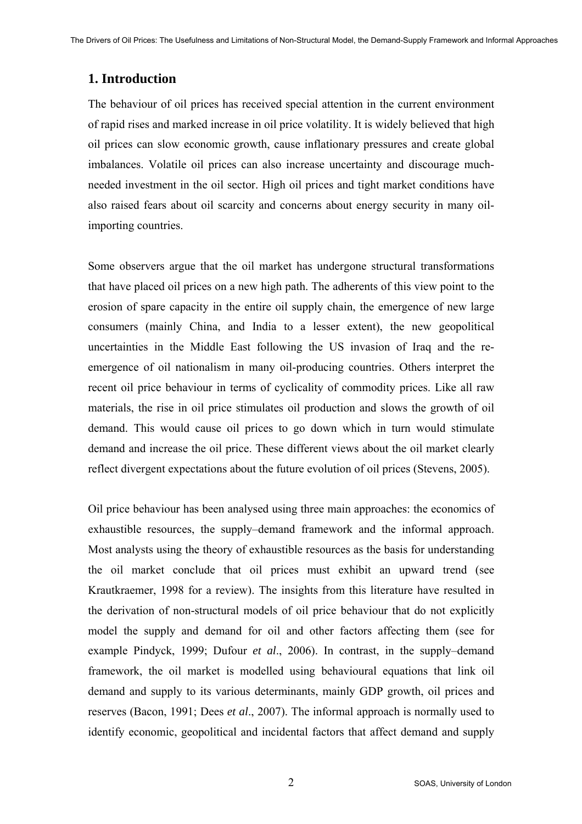# **1. Introduction**

The behaviour of oil prices has received special attention in the current environment of rapid rises and marked increase in oil price volatility. It is widely believed that high oil prices can slow economic growth, cause inflationary pressures and create global imbalances. Volatile oil prices can also increase uncertainty and discourage muchneeded investment in the oil sector. High oil prices and tight market conditions have also raised fears about oil scarcity and concerns about energy security in many oilimporting countries.

Some observers argue that the oil market has undergone structural transformations that have placed oil prices on a new high path. The adherents of this view point to the erosion of spare capacity in the entire oil supply chain, the emergence of new large consumers (mainly China, and India to a lesser extent), the new geopolitical uncertainties in the Middle East following the US invasion of Iraq and the reemergence of oil nationalism in many oil-producing countries. Others interpret the recent oil price behaviour in terms of cyclicality of commodity prices. Like all raw materials, the rise in oil price stimulates oil production and slows the growth of oil demand. This would cause oil prices to go down which in turn would stimulate demand and increase the oil price. These different views about the oil market clearly reflect divergent expectations about the future evolution of oil prices (Stevens, 2005).

Oil price behaviour has been analysed using three main approaches: the economics of exhaustible resources, the supply–demand framework and the informal approach. Most analysts using the theory of exhaustible resources as the basis for understanding the oil market conclude that oil prices must exhibit an upward trend (see Krautkraemer, 1998 for a review). The insights from this literature have resulted in the derivation of non-structural models of oil price behaviour that do not explicitly model the supply and demand for oil and other factors affecting them (see for example Pindyck, 1999; Dufour *et al*., 2006). In contrast, in the supply–demand framework, the oil market is modelled using behavioural equations that link oil demand and supply to its various determinants, mainly GDP growth, oil prices and reserves (Bacon, 1991; Dees *et al*., 2007). The informal approach is normally used to identify economic, geopolitical and incidental factors that affect demand and supply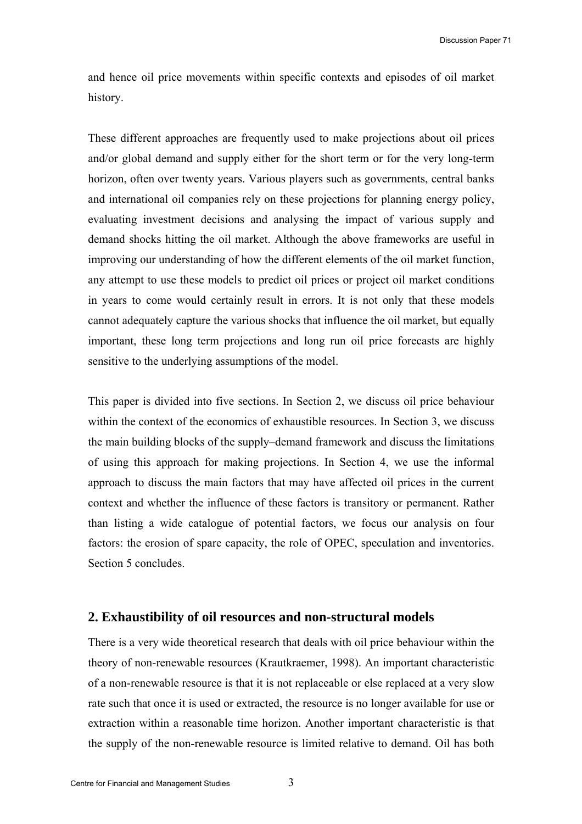and hence oil price movements within specific contexts and episodes of oil market history.

These different approaches are frequently used to make projections about oil prices and/or global demand and supply either for the short term or for the very long-term horizon, often over twenty years. Various players such as governments, central banks and international oil companies rely on these projections for planning energy policy, evaluating investment decisions and analysing the impact of various supply and demand shocks hitting the oil market. Although the above frameworks are useful in improving our understanding of how the different elements of the oil market function, any attempt to use these models to predict oil prices or project oil market conditions in years to come would certainly result in errors. It is not only that these models cannot adequately capture the various shocks that influence the oil market, but equally important, these long term projections and long run oil price forecasts are highly sensitive to the underlying assumptions of the model.

This paper is divided into five sections. In Section 2, we discuss oil price behaviour within the context of the economics of exhaustible resources. In Section 3, we discuss the main building blocks of the supply–demand framework and discuss the limitations of using this approach for making projections. In Section 4, we use the informal approach to discuss the main factors that may have affected oil prices in the current context and whether the influence of these factors is transitory or permanent. Rather than listing a wide catalogue of potential factors, we focus our analysis on four factors: the erosion of spare capacity, the role of OPEC, speculation and inventories. Section 5 concludes.

# **2. Exhaustibility of oil resources and non-structural models**

There is a very wide theoretical research that deals with oil price behaviour within the theory of non-renewable resources (Krautkraemer, 1998). An important characteristic of a non-renewable resource is that it is not replaceable or else replaced at a very slow rate such that once it is used or extracted, the resource is no longer available for use or extraction within a reasonable time horizon. Another important characteristic is that the supply of the non-renewable resource is limited relative to demand. Oil has both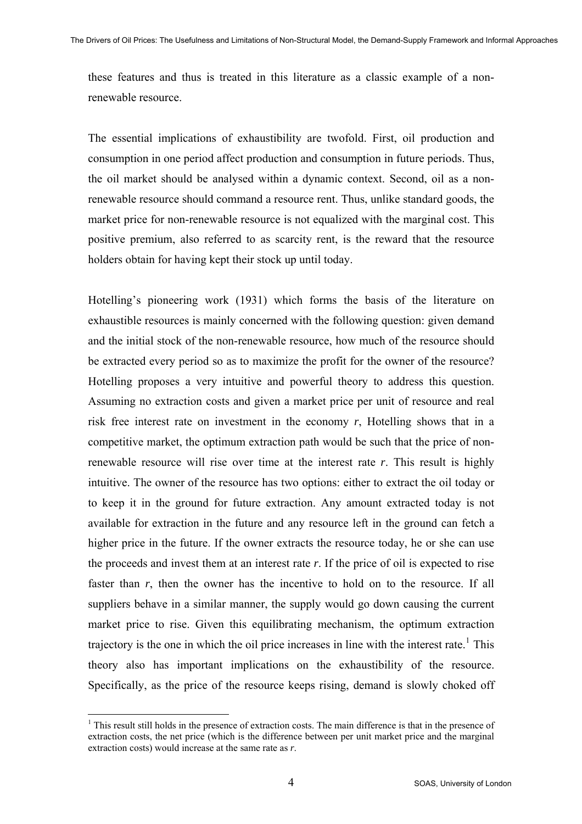these features and thus is treated in this literature as a classic example of a nonrenewable resource.

The essential implications of exhaustibility are twofold. First, oil production and consumption in one period affect production and consumption in future periods. Thus, the oil market should be analysed within a dynamic context. Second, oil as a nonrenewable resource should command a resource rent. Thus, unlike standard goods, the market price for non-renewable resource is not equalized with the marginal cost. This positive premium, also referred to as scarcity rent, is the reward that the resource holders obtain for having kept their stock up until today.

Hotelling's pioneering work (1931) which forms the basis of the literature on exhaustible resources is mainly concerned with the following question: given demand and the initial stock of the non-renewable resource, how much of the resource should be extracted every period so as to maximize the profit for the owner of the resource? Hotelling proposes a very intuitive and powerful theory to address this question. Assuming no extraction costs and given a market price per unit of resource and real risk free interest rate on investment in the economy *r*, Hotelling shows that in a competitive market, the optimum extraction path would be such that the price of nonrenewable resource will rise over time at the interest rate *r*. This result is highly intuitive. The owner of the resource has two options: either to extract the oil today or to keep it in the ground for future extraction. Any amount extracted today is not available for extraction in the future and any resource left in the ground can fetch a higher price in the future. If the owner extracts the resource today, he or she can use the proceeds and invest them at an interest rate *r*. If the price of oil is expected to rise faster than *r*, then the owner has the incentive to hold on to the resource. If all suppliers behave in a similar manner, the supply would go down causing the current market price to rise. Given this equilibrating mechanism, the optimum extraction trajectory is the one in which the oil price increases in line with the interest rate.<sup>[1](#page-3-0)</sup> This theory also has important implications on the exhaustibility of the resource. Specifically, as the price of the resource keeps rising, demand is slowly choked off

 $\overline{a}$ 

<span id="page-3-0"></span><sup>&</sup>lt;sup>1</sup> This result still holds in the presence of extraction costs. The main difference is that in the presence of extraction costs, the net price (which is the difference between per unit market price and the marginal extraction costs) would increase at the same rate as *r*.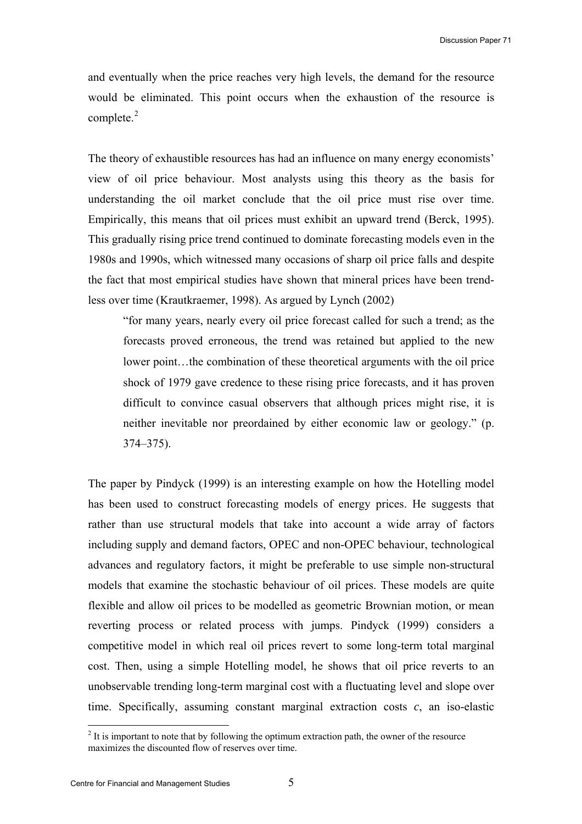and eventually when the price reaches very high levels, the demand for the resource would be eliminated. This point occurs when the exhaustion of the resource is complete. $2$ 

The theory of exhaustible resources has had an influence on many energy economists' view of oil price behaviour. Most analysts using this theory as the basis for understanding the oil market conclude that the oil price must rise over time. Empirically, this means that oil prices must exhibit an upward trend (Berck, 1995). This gradually rising price trend continued to dominate forecasting models even in the 1980s and 1990s, which witnessed many occasions of sharp oil price falls and despite the fact that most empirical studies have shown that mineral prices have been trendless over time (Krautkraemer, 1998). As argued by Lynch (2002)

"for many years, nearly every oil price forecast called for such a trend; as the forecasts proved erroneous, the trend was retained but applied to the new lower point…the combination of these theoretical arguments with the oil price shock of 1979 gave credence to these rising price forecasts, and it has proven difficult to convince casual observers that although prices might rise, it is neither inevitable nor preordained by either economic law or geology." (p. 374–375).

The paper by Pindyck (1999) is an interesting example on how the Hotelling model has been used to construct forecasting models of energy prices. He suggests that rather than use structural models that take into account a wide array of factors including supply and demand factors, OPEC and non-OPEC behaviour, technological advances and regulatory factors, it might be preferable to use simple non-structural models that examine the stochastic behaviour of oil prices. These models are quite flexible and allow oil prices to be modelled as geometric Brownian motion, or mean reverting process or related process with jumps. Pindyck (1999) considers a competitive model in which real oil prices revert to some long-term total marginal cost. Then, using a simple Hotelling model, he shows that oil price reverts to an unobservable trending long-term marginal cost with a fluctuating level and slope over time. Specifically, assuming constant marginal extraction costs *c*, an iso-elastic

 $\overline{a}$ 

<span id="page-4-0"></span> $2<sup>2</sup>$  It is important to note that by following the optimum extraction path, the owner of the resource maximizes the discounted flow of reserves over time.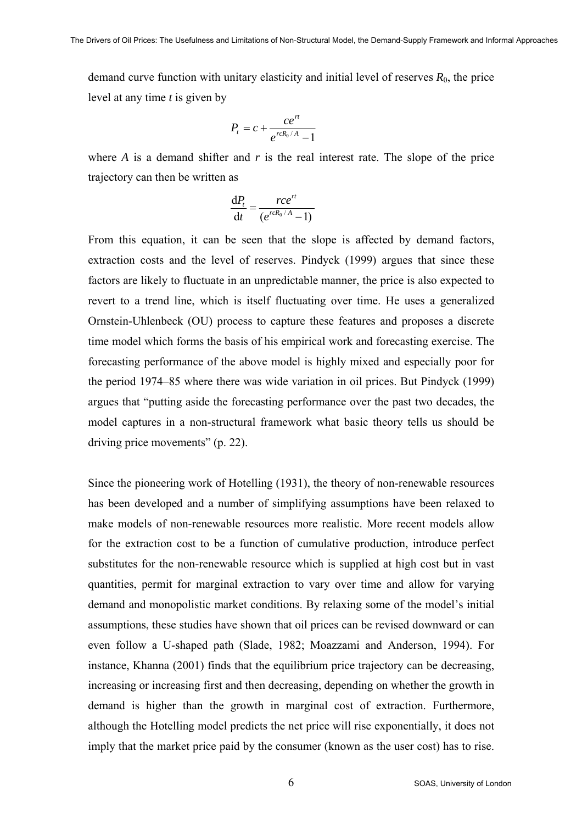demand curve function with unitary elasticity and initial level of reserves  $R_0$ , the price level at any time *t* is given by

$$
P_t = c + \frac{ce^{rt}}{e^{rcR_0/A} - 1}
$$

where *A* is a demand shifter and *r* is the real interest rate. The slope of the price trajectory can then be written as

$$
\frac{\mathrm{d}P_t}{\mathrm{d}t} = \frac{rce^{rt}}{(e^{rcR_0/A}-1)}
$$

From this equation, it can be seen that the slope is affected by demand factors, extraction costs and the level of reserves. Pindyck (1999) argues that since these factors are likely to fluctuate in an unpredictable manner, the price is also expected to revert to a trend line, which is itself fluctuating over time. He uses a generalized Ornstein-Uhlenbeck (OU) process to capture these features and proposes a discrete time model which forms the basis of his empirical work and forecasting exercise. The forecasting performance of the above model is highly mixed and especially poor for the period 1974–85 where there was wide variation in oil prices. But Pindyck (1999) argues that "putting aside the forecasting performance over the past two decades, the model captures in a non-structural framework what basic theory tells us should be driving price movements" (p. 22).

Since the pioneering work of Hotelling (1931), the theory of non-renewable resources has been developed and a number of simplifying assumptions have been relaxed to make models of non-renewable resources more realistic. More recent models allow for the extraction cost to be a function of cumulative production, introduce perfect substitutes for the non-renewable resource which is supplied at high cost but in vast quantities, permit for marginal extraction to vary over time and allow for varying demand and monopolistic market conditions. By relaxing some of the model's initial assumptions, these studies have shown that oil prices can be revised downward or can even follow a U-shaped path (Slade, 1982; Moazzami and Anderson, 1994). For instance, Khanna (2001) finds that the equilibrium price trajectory can be decreasing, increasing or increasing first and then decreasing, depending on whether the growth in demand is higher than the growth in marginal cost of extraction. Furthermore, although the Hotelling model predicts the net price will rise exponentially, it does not imply that the market price paid by the consumer (known as the user cost) has to rise.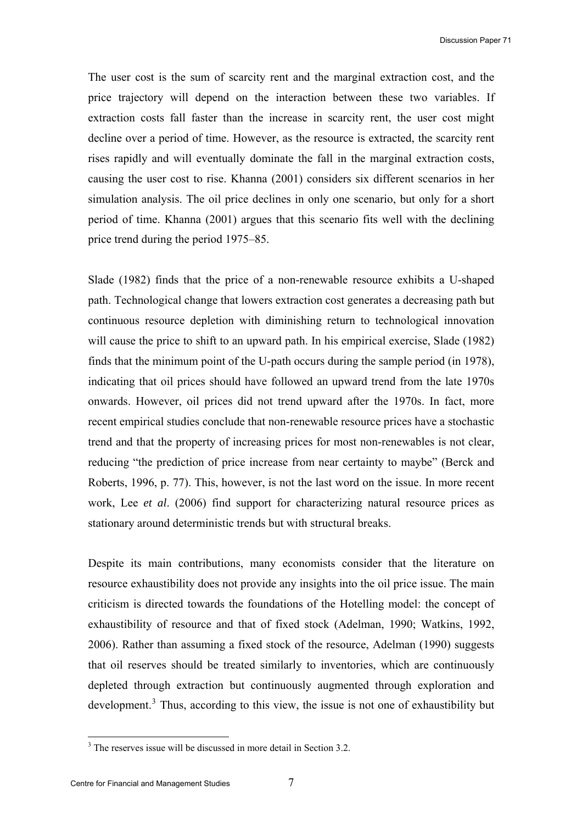The user cost is the sum of scarcity rent and the marginal extraction cost, and the price trajectory will depend on the interaction between these two variables. If extraction costs fall faster than the increase in scarcity rent, the user cost might decline over a period of time. However, as the resource is extracted, the scarcity rent rises rapidly and will eventually dominate the fall in the marginal extraction costs, causing the user cost to rise. Khanna (2001) considers six different scenarios in her simulation analysis. The oil price declines in only one scenario, but only for a short period of time. Khanna (2001) argues that this scenario fits well with the declining price trend during the period 1975–85.

Slade (1982) finds that the price of a non-renewable resource exhibits a U-shaped path. Technological change that lowers extraction cost generates a decreasing path but continuous resource depletion with diminishing return to technological innovation will cause the price to shift to an upward path. In his empirical exercise, Slade (1982) finds that the minimum point of the U-path occurs during the sample period (in 1978), indicating that oil prices should have followed an upward trend from the late 1970s onwards. However, oil prices did not trend upward after the 1970s. In fact, more recent empirical studies conclude that non-renewable resource prices have a stochastic trend and that the property of increasing prices for most non-renewables is not clear, reducing "the prediction of price increase from near certainty to maybe" (Berck and Roberts, 1996, p. 77). This, however, is not the last word on the issue. In more recent work, Lee *et al*. (2006) find support for characterizing natural resource prices as stationary around deterministic trends but with structural breaks.

Despite its main contributions, many economists consider that the literature on resource exhaustibility does not provide any insights into the oil price issue. The main criticism is directed towards the foundations of the Hotelling model: the concept of exhaustibility of resource and that of fixed stock (Adelman, 1990; Watkins, 1992, 2006). Rather than assuming a fixed stock of the resource, Adelman (1990) suggests that oil reserves should be treated similarly to inventories, which are continuously depleted through extraction but continuously augmented through exploration and development.<sup>[3](#page-6-0)</sup> Thus, according to this view, the issue is not one of exhaustibility but

<span id="page-6-0"></span><sup>&</sup>lt;sup>3</sup> The reserves issue will be discussed in more detail in Section 3.2.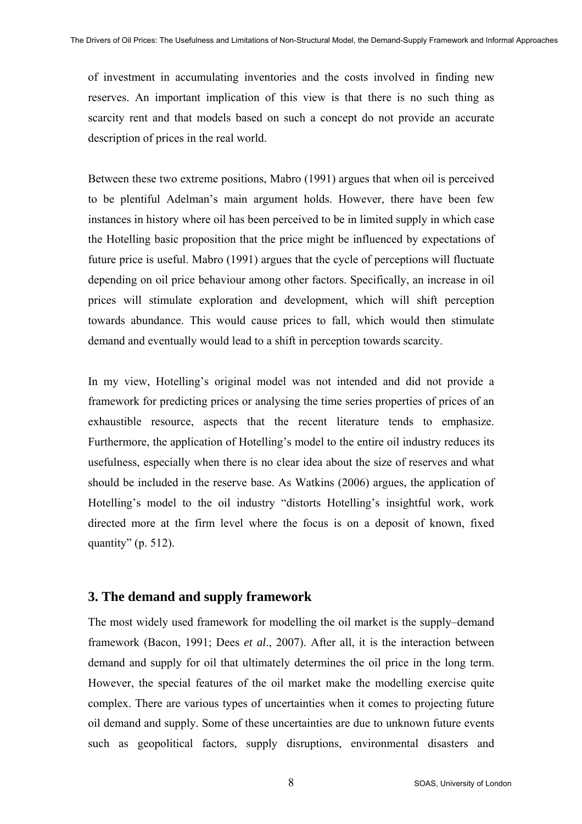of investment in accumulating inventories and the costs involved in finding new reserves. An important implication of this view is that there is no such thing as scarcity rent and that models based on such a concept do not provide an accurate description of prices in the real world.

Between these two extreme positions, Mabro (1991) argues that when oil is perceived to be plentiful Adelman's main argument holds. However, there have been few instances in history where oil has been perceived to be in limited supply in which case the Hotelling basic proposition that the price might be influenced by expectations of future price is useful. Mabro (1991) argues that the cycle of perceptions will fluctuate depending on oil price behaviour among other factors. Specifically, an increase in oil prices will stimulate exploration and development, which will shift perception towards abundance. This would cause prices to fall, which would then stimulate demand and eventually would lead to a shift in perception towards scarcity.

In my view, Hotelling's original model was not intended and did not provide a framework for predicting prices or analysing the time series properties of prices of an exhaustible resource, aspects that the recent literature tends to emphasize. Furthermore, the application of Hotelling's model to the entire oil industry reduces its usefulness, especially when there is no clear idea about the size of reserves and what should be included in the reserve base. As Watkins (2006) argues, the application of Hotelling's model to the oil industry "distorts Hotelling's insightful work, work directed more at the firm level where the focus is on a deposit of known, fixed quantity" (p.  $512$ ).

# **3. The demand and supply framework**

The most widely used framework for modelling the oil market is the supply–demand framework (Bacon, 1991; Dees *et al*., 2007). After all, it is the interaction between demand and supply for oil that ultimately determines the oil price in the long term. However, the special features of the oil market make the modelling exercise quite complex. There are various types of uncertainties when it comes to projecting future oil demand and supply. Some of these uncertainties are due to unknown future events such as geopolitical factors, supply disruptions, environmental disasters and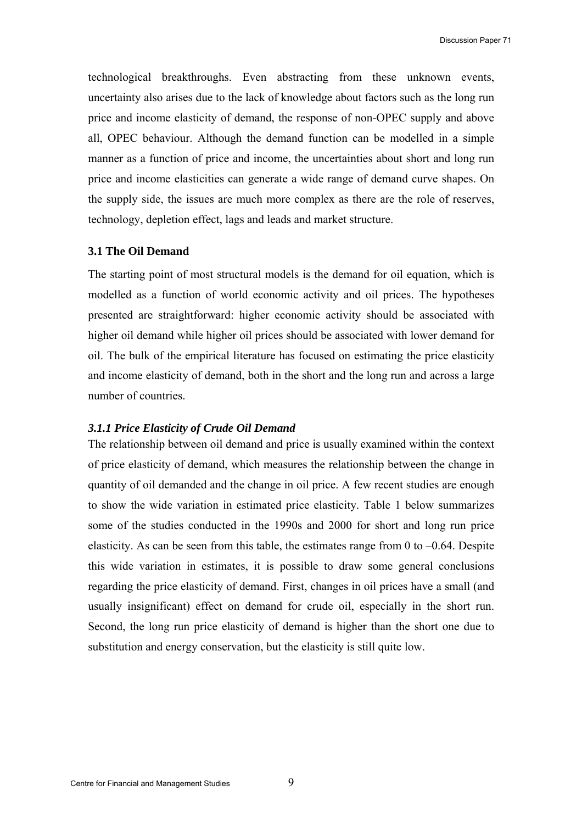technological breakthroughs. Even abstracting from these unknown events, uncertainty also arises due to the lack of knowledge about factors such as the long run price and income elasticity of demand, the response of non-OPEC supply and above all, OPEC behaviour. Although the demand function can be modelled in a simple manner as a function of price and income, the uncertainties about short and long run price and income elasticities can generate a wide range of demand curve shapes. On the supply side, the issues are much more complex as there are the role of reserves, technology, depletion effect, lags and leads and market structure.

#### **3.1 The Oil Demand**

The starting point of most structural models is the demand for oil equation, which is modelled as a function of world economic activity and oil prices. The hypotheses presented are straightforward: higher economic activity should be associated with higher oil demand while higher oil prices should be associated with lower demand for oil. The bulk of the empirical literature has focused on estimating the price elasticity and income elasticity of demand, both in the short and the long run and across a large number of countries.

#### *3.1.1 Price Elasticity of Crude Oil Demand*

The relationship between oil demand and price is usually examined within the context of price elasticity of demand, which measures the relationship between the change in quantity of oil demanded and the change in oil price. A few recent studies are enough to show the wide variation in estimated price elasticity. Table 1 below summarizes some of the studies conducted in the 1990s and 2000 for short and long run price elasticity. As can be seen from this table, the estimates range from 0 to  $-0.64$ . Despite this wide variation in estimates, it is possible to draw some general conclusions regarding the price elasticity of demand. First, changes in oil prices have a small (and usually insignificant) effect on demand for crude oil, especially in the short run. Second, the long run price elasticity of demand is higher than the short one due to substitution and energy conservation, but the elasticity is still quite low.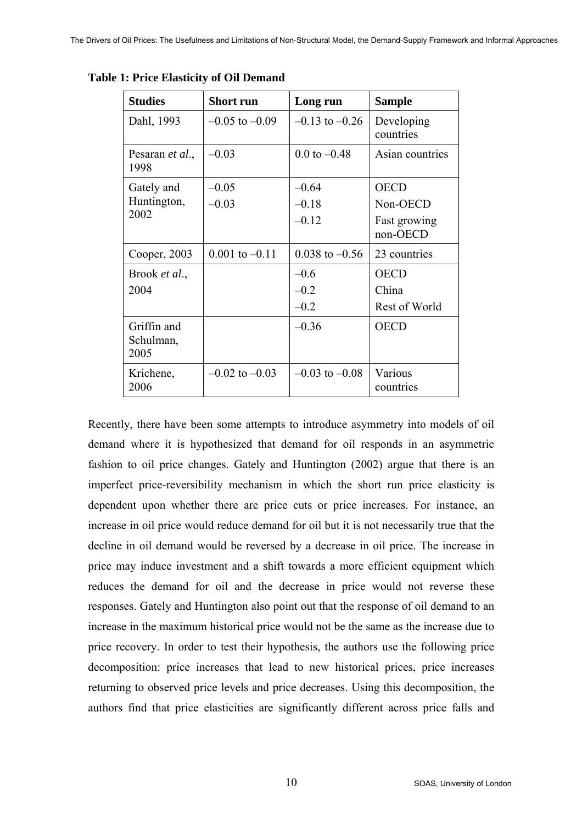| <b>Studies</b>                   | <b>Short run</b>   | Long run                | <b>Sample</b>            |
|----------------------------------|--------------------|-------------------------|--------------------------|
| Dahl, 1993                       | $-0.05$ to $-0.09$ | $-0.13$ to $-0.26$      | Developing<br>countries  |
| Pesaran <i>et al.</i> ,<br>1998  | $-0.03$            | $0.0 \text{ to } -0.48$ | Asian countries          |
| Gately and                       | $-0.05$            | $-0.64$                 | <b>OECD</b>              |
| Huntington,                      | $-0.03$            | $-0.18$                 | Non-OECD                 |
| 2002                             |                    | $-0.12$                 | Fast growing<br>non-OECD |
| Cooper, 2003                     | $0.001$ to $-0.11$ | $0.038$ to $-0.56$      | 23 countries             |
| Brook et al.,                    |                    | $-0.6$                  | <b>OECD</b>              |
| 2004                             |                    | $-0.2$                  | China                    |
|                                  |                    | $-0.2$                  | Rest of World            |
| Griffin and<br>Schulman,<br>2005 |                    | $-0.36$                 | <b>OECD</b>              |
| Krichene,<br>2006                | $-0.02$ to $-0.03$ | $-0.03$ to $-0.08$      | Various<br>countries     |

**Table 1: Price Elasticity of Oil Demand** 

Recently, there have been some attempts to introduce asymmetry into models of oil demand where it is hypothesized that demand for oil responds in an asymmetric fashion to oil price changes. Gately and Huntington (2002) argue that there is an imperfect price-reversibility mechanism in which the short run price elasticity is dependent upon whether there are price cuts or price increases. For instance, an increase in oil price would reduce demand for oil but it is not necessarily true that the decline in oil demand would be reversed by a decrease in oil price. The increase in price may induce investment and a shift towards a more efficient equipment which reduces the demand for oil and the decrease in price would not reverse these responses. Gately and Huntington also point out that the response of oil demand to an increase in the maximum historical price would not be the same as the increase due to price recovery. In order to test their hypothesis, the authors use the following price decomposition: price increases that lead to new historical prices, price increases returning to observed price levels and price decreases. Using this decomposition, the authors find that price elasticities are significantly different across price falls and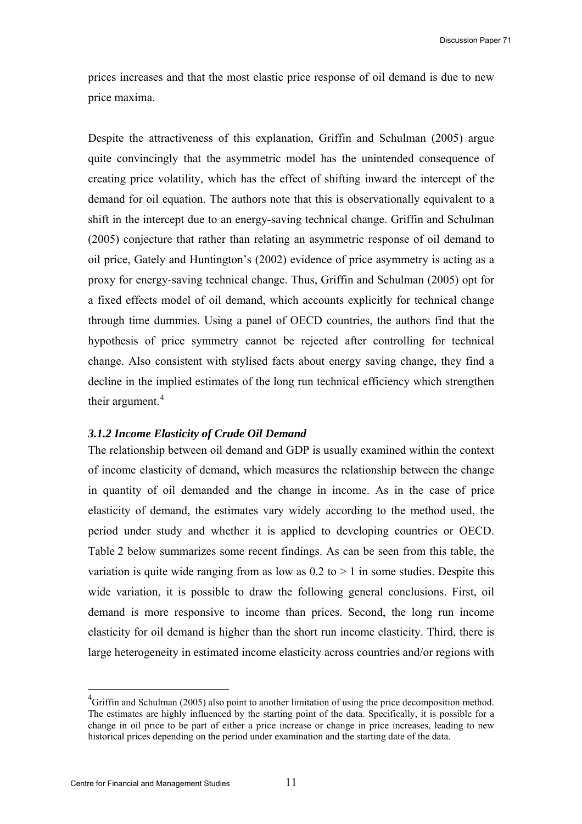prices increases and that the most elastic price response of oil demand is due to new price maxima.

Despite the attractiveness of this explanation, Griffin and Schulman (2005) argue quite convincingly that the asymmetric model has the unintended consequence of creating price volatility, which has the effect of shifting inward the intercept of the demand for oil equation. The authors note that this is observationally equivalent to a shift in the intercept due to an energy-saving technical change. Griffin and Schulman (2005) conjecture that rather than relating an asymmetric response of oil demand to oil price, Gately and Huntington's (2002) evidence of price asymmetry is acting as a proxy for energy-saving technical change. Thus, Griffin and Schulman (2005) opt for a fixed effects model of oil demand, which accounts explicitly for technical change through time dummies. Using a panel of OECD countries, the authors find that the hypothesis of price symmetry cannot be rejected after controlling for technical change. Also consistent with stylised facts about energy saving change, they find a decline in the implied estimates of the long run technical efficiency which strengthen their argument. $4$ 

#### *3.1.2 Income Elasticity of Crude Oil Demand*

The relationship between oil demand and GDP is usually examined within the context of income elasticity of demand, which measures the relationship between the change in quantity of oil demanded and the change in income. As in the case of price elasticity of demand, the estimates vary widely according to the method used, the period under study and whether it is applied to developing countries or OECD. Table 2 below summarizes some recent findings. As can be seen from this table, the variation is quite wide ranging from as low as  $0.2$  to  $> 1$  in some studies. Despite this wide variation, it is possible to draw the following general conclusions. First, oil demand is more responsive to income than prices. Second, the long run income elasticity for oil demand is higher than the short run income elasticity. Third, there is large heterogeneity in estimated income elasticity across countries and/or regions with

 $\overline{a}$ 

<span id="page-10-0"></span> ${}^{4}$ Griffin and Schulman (2005) also point to another limitation of using the price decomposition method. The estimates are highly influenced by the starting point of the data. Specifically, it is possible for a change in oil price to be part of either a price increase or change in price increases, leading to new historical prices depending on the period under examination and the starting date of the data.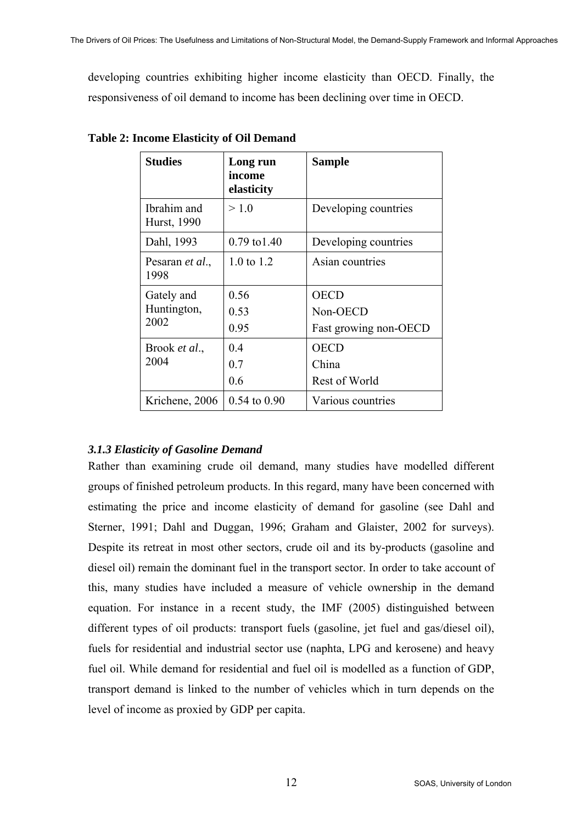developing countries exhibiting higher income elasticity than OECD. Finally, the responsiveness of oil demand to income has been declining over time in OECD.

| <b>Studies</b>                    | Long run<br>income<br>elasticity | <b>Sample</b>                                    |
|-----------------------------------|----------------------------------|--------------------------------------------------|
| Ibrahim and<br>Hurst, 1990        | > 1.0                            | Developing countries                             |
| Dahl, 1993                        | $0.79 \text{ to } 1.40$          | Developing countries                             |
| Pesaran <i>et al.</i> ,<br>1998   | $1.0 \text{ to } 1.2$            | Asian countries                                  |
| Gately and<br>Huntington,<br>2002 | 0.56<br>0.53<br>0.95             | <b>OECD</b><br>Non-OECD<br>Fast growing non-OECD |
| Brook et al.,<br>2004             | 0.4<br>0.7<br>0.6                | <b>OECD</b><br>China<br><b>Rest of World</b>     |
| Krichene, 2006                    | $0.54$ to $0.90$                 | Various countries                                |

**Table 2: Income Elasticity of Oil Demand** 

### *3.1.3 Elasticity of Gasoline Demand*

Rather than examining crude oil demand, many studies have modelled different groups of finished petroleum products. In this regard, many have been concerned with estimating the price and income elasticity of demand for gasoline (see Dahl and Sterner, 1991; Dahl and Duggan, 1996; Graham and Glaister, 2002 for surveys). Despite its retreat in most other sectors, crude oil and its by-products (gasoline and diesel oil) remain the dominant fuel in the transport sector. In order to take account of this, many studies have included a measure of vehicle ownership in the demand equation. For instance in a recent study, the IMF (2005) distinguished between different types of oil products: transport fuels (gasoline, jet fuel and gas/diesel oil), fuels for residential and industrial sector use (naphta, LPG and kerosene) and heavy fuel oil. While demand for residential and fuel oil is modelled as a function of GDP, transport demand is linked to the number of vehicles which in turn depends on the level of income as proxied by GDP per capita.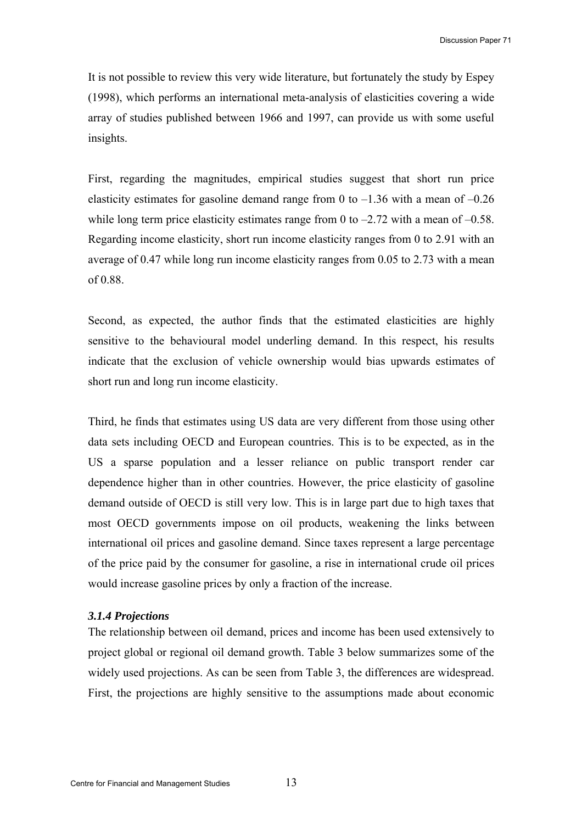It is not possible to review this very wide literature, but fortunately the study by Espey (1998), which performs an international meta-analysis of elasticities covering a wide array of studies published between 1966 and 1997, can provide us with some useful insights.

First, regarding the magnitudes, empirical studies suggest that short run price elasticity estimates for gasoline demand range from 0 to  $-1.36$  with a mean of  $-0.26$ while long term price elasticity estimates range from 0 to  $-2.72$  with a mean of  $-0.58$ . Regarding income elasticity, short run income elasticity ranges from 0 to 2.91 with an average of 0.47 while long run income elasticity ranges from 0.05 to 2.73 with a mean of 0.88.

Second, as expected, the author finds that the estimated elasticities are highly sensitive to the behavioural model underling demand. In this respect, his results indicate that the exclusion of vehicle ownership would bias upwards estimates of short run and long run income elasticity.

Third, he finds that estimates using US data are very different from those using other data sets including OECD and European countries. This is to be expected, as in the US a sparse population and a lesser reliance on public transport render car dependence higher than in other countries. However, the price elasticity of gasoline demand outside of OECD is still very low. This is in large part due to high taxes that most OECD governments impose on oil products, weakening the links between international oil prices and gasoline demand. Since taxes represent a large percentage of the price paid by the consumer for gasoline, a rise in international crude oil prices would increase gasoline prices by only a fraction of the increase.

#### *3.1.4 Projections*

The relationship between oil demand, prices and income has been used extensively to project global or regional oil demand growth. Table 3 below summarizes some of the widely used projections. As can be seen from Table 3, the differences are widespread. First, the projections are highly sensitive to the assumptions made about economic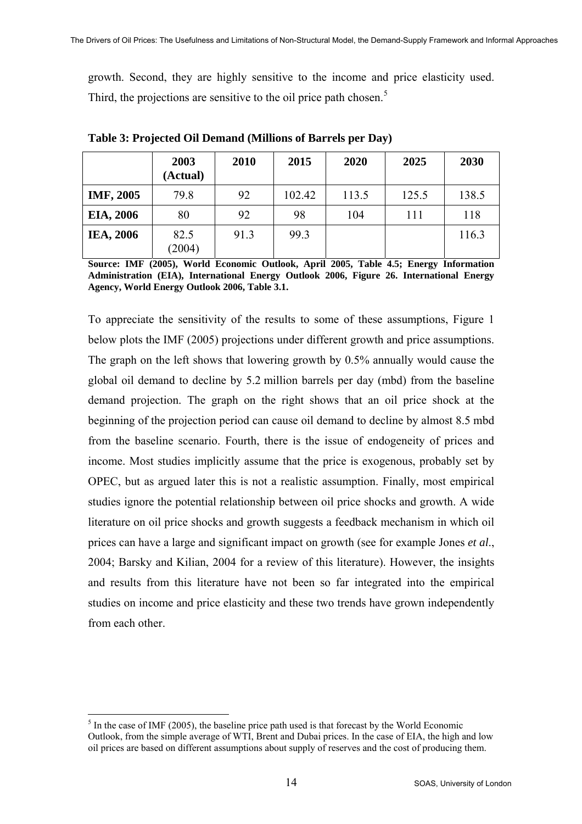growth. Second, they are highly sensitive to the income and price elasticity used. Third, the projections are sensitive to the oil price path chosen.<sup>[5](#page-13-0)</sup>

|                  | 2003<br>(Actual) | 2010 | 2015   | 2020  | 2025  | 2030  |
|------------------|------------------|------|--------|-------|-------|-------|
| <b>IMF, 2005</b> | 79.8             | 92   | 102.42 | 113.5 | 125.5 | 138.5 |
| EIA, 2006        | 80               | 92   | 98     | 104   | 111   | 118   |
| <b>IEA, 2006</b> | 82.5<br>(2004)   | 91.3 | 99.3   |       |       | 116.3 |

**Table 3: Projected Oil Demand (Millions of Barrels per Day)** 

**Source: IMF (2005), World Economic Outlook, April 2005, Table 4.5; Energy Information Administration (EIA), International Energy Outlook 2006, Figure 26. International Energy Agency, World Energy Outlook 2006, Table 3.1.** 

To appreciate the sensitivity of the results to some of these assumptions, Figure 1 below plots the IMF (2005) projections under different growth and price assumptions. The graph on the left shows that lowering growth by 0.5% annually would cause the global oil demand to decline by 5.2 million barrels per day (mbd) from the baseline demand projection. The graph on the right shows that an oil price shock at the beginning of the projection period can cause oil demand to decline by almost 8.5 mbd from the baseline scenario. Fourth, there is the issue of endogeneity of prices and income. Most studies implicitly assume that the price is exogenous, probably set by OPEC, but as argued later this is not a realistic assumption. Finally, most empirical studies ignore the potential relationship between oil price shocks and growth. A wide literature on oil price shocks and growth suggests a feedback mechanism in which oil prices can have a large and significant impact on growth (see for example Jones *et al*., 2004; Barsky and Kilian, 2004 for a review of this literature). However, the insights and results from this literature have not been so far integrated into the empirical studies on income and price elasticity and these two trends have grown independently from each other.

 $\overline{a}$ 

<span id="page-13-0"></span> $<sup>5</sup>$  In the case of IMF (2005), the baseline price path used is that forecast by the World Economic</sup> Outlook, from the simple average of WTI, Brent and Dubai prices. In the case of EIA, the high and low oil prices are based on different assumptions about supply of reserves and the cost of producing them.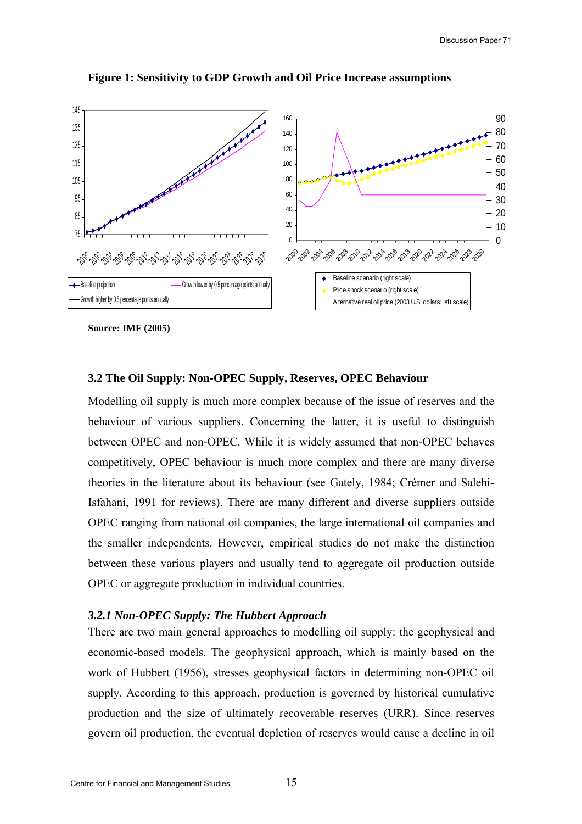

#### **Figure 1: Sensitivity to GDP Growth and Oil Price Increase assumptions**

#### **3.2 The Oil Supply: Non-OPEC Supply, Reserves, OPEC Behaviour**

Modelling oil supply is much more complex because of the issue of reserves and the behaviour of various suppliers. Concerning the latter, it is useful to distinguish between OPEC and non-OPEC. While it is widely assumed that non-OPEC behaves competitively, OPEC behaviour is much more complex and there are many diverse theories in the literature about its behaviour (see Gately, 1984; Crémer and Salehi-Isfahani, 1991 for reviews). There are many different and diverse suppliers outside OPEC ranging from national oil companies, the large international oil companies and the smaller independents. However, empirical studies do not make the distinction between these various players and usually tend to aggregate oil production outside OPEC or aggregate production in individual countries.

#### *3.2.1 Non-OPEC Supply: The Hubbert Approach*

There are two main general approaches to modelling oil supply: the geophysical and economic-based models. The geophysical approach, which is mainly based on the work of Hubbert (1956), stresses geophysical factors in determining non-OPEC oil supply. According to this approach, production is governed by historical cumulative production and the size of ultimately recoverable reserves (URR). Since reserves govern oil production, the eventual depletion of reserves would cause a decline in oil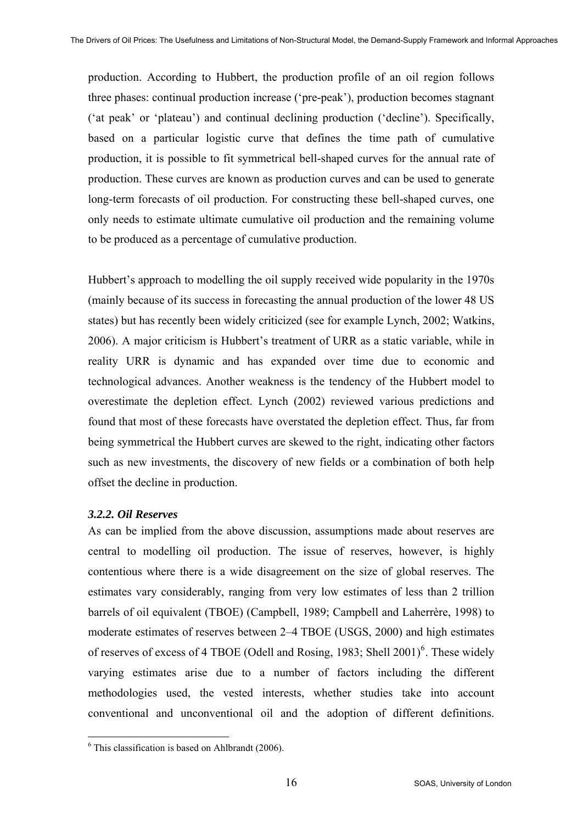production. According to Hubbert, the production profile of an oil region follows three phases: continual production increase ('pre-peak'), production becomes stagnant ('at peak' or 'plateau') and continual declining production ('decline'). Specifically, based on a particular logistic curve that defines the time path of cumulative production, it is possible to fit symmetrical bell-shaped curves for the annual rate of production. These curves are known as production curves and can be used to generate long-term forecasts of oil production. For constructing these bell-shaped curves, one only needs to estimate ultimate cumulative oil production and the remaining volume to be produced as a percentage of cumulative production.

Hubbert's approach to modelling the oil supply received wide popularity in the 1970s (mainly because of its success in forecasting the annual production of the lower 48 US states) but has recently been widely criticized (see for example Lynch, 2002; Watkins, 2006). A major criticism is Hubbert's treatment of URR as a static variable, while in reality URR is dynamic and has expanded over time due to economic and technological advances. Another weakness is the tendency of the Hubbert model to overestimate the depletion effect. Lynch (2002) reviewed various predictions and found that most of these forecasts have overstated the depletion effect. Thus, far from being symmetrical the Hubbert curves are skewed to the right, indicating other factors such as new investments, the discovery of new fields or a combination of both help offset the decline in production.

#### *3.2.2. Oil Reserves*

As can be implied from the above discussion, assumptions made about reserves are central to modelling oil production. The issue of reserves, however, is highly contentious where there is a wide disagreement on the size of global reserves. The estimates vary considerably, ranging from very low estimates of less than 2 trillion barrels of oil equivalent (TBOE) (Campbell, 1989; Campbell and Laherrère, 1998) to moderate estimates of reserves between 2–4 TBOE (USGS, 2000) and high estimates of reserves of excess of 4 TBOE (Odell and Rosing, 1983; Shell  $2001$ <sup>[6](#page-15-0)</sup>. These widely varying estimates arise due to a number of factors including the different methodologies used, the vested interests, whether studies take into account conventional and unconventional oil and the adoption of different definitions.

<span id="page-15-0"></span> 6 This classification is based on Ahlbrandt (2006).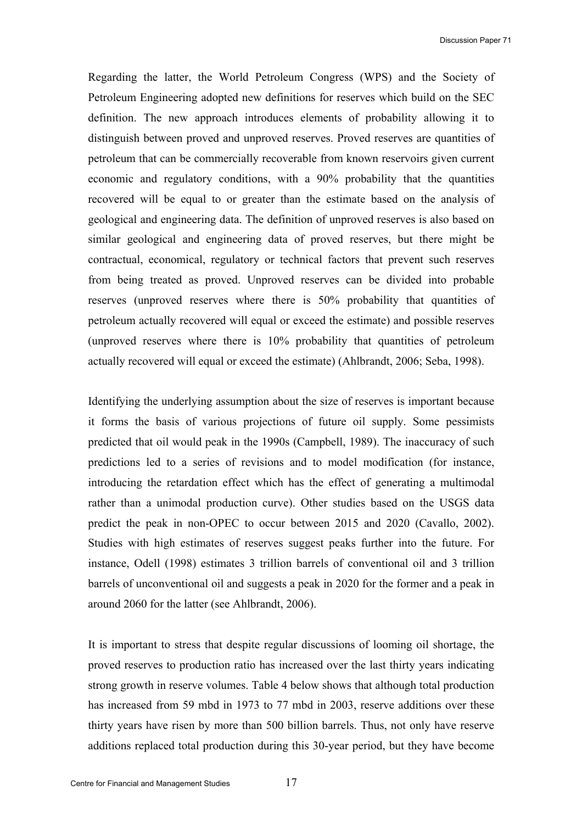Discussion Paper 71

Regarding the latter, the World Petroleum Congress (WPS) and the Society of Petroleum Engineering adopted new definitions for reserves which build on the SEC definition. The new approach introduces elements of probability allowing it to distinguish between proved and unproved reserves. Proved reserves are quantities of petroleum that can be commercially recoverable from known reservoirs given current economic and regulatory conditions, with a 90% probability that the quantities recovered will be equal to or greater than the estimate based on the analysis of geological and engineering data. The definition of unproved reserves is also based on similar geological and engineering data of proved reserves, but there might be contractual, economical, regulatory or technical factors that prevent such reserves from being treated as proved. Unproved reserves can be divided into probable reserves (unproved reserves where there is 50% probability that quantities of petroleum actually recovered will equal or exceed the estimate) and possible reserves (unproved reserves where there is 10% probability that quantities of petroleum actually recovered will equal or exceed the estimate) (Ahlbrandt, 2006; Seba, 1998).

Identifying the underlying assumption about the size of reserves is important because it forms the basis of various projections of future oil supply. Some pessimists predicted that oil would peak in the 1990s (Campbell, 1989). The inaccuracy of such predictions led to a series of revisions and to model modification (for instance, introducing the retardation effect which has the effect of generating a multimodal rather than a unimodal production curve). Other studies based on the USGS data predict the peak in non-OPEC to occur between 2015 and 2020 (Cavallo, 2002). Studies with high estimates of reserves suggest peaks further into the future. For instance, Odell (1998) estimates 3 trillion barrels of conventional oil and 3 trillion barrels of unconventional oil and suggests a peak in 2020 for the former and a peak in around 2060 for the latter (see Ahlbrandt, 2006).

It is important to stress that despite regular discussions of looming oil shortage, the proved reserves to production ratio has increased over the last thirty years indicating strong growth in reserve volumes. Table 4 below shows that although total production has increased from 59 mbd in 1973 to 77 mbd in 2003, reserve additions over these thirty years have risen by more than 500 billion barrels. Thus, not only have reserve additions replaced total production during this 30-year period, but they have become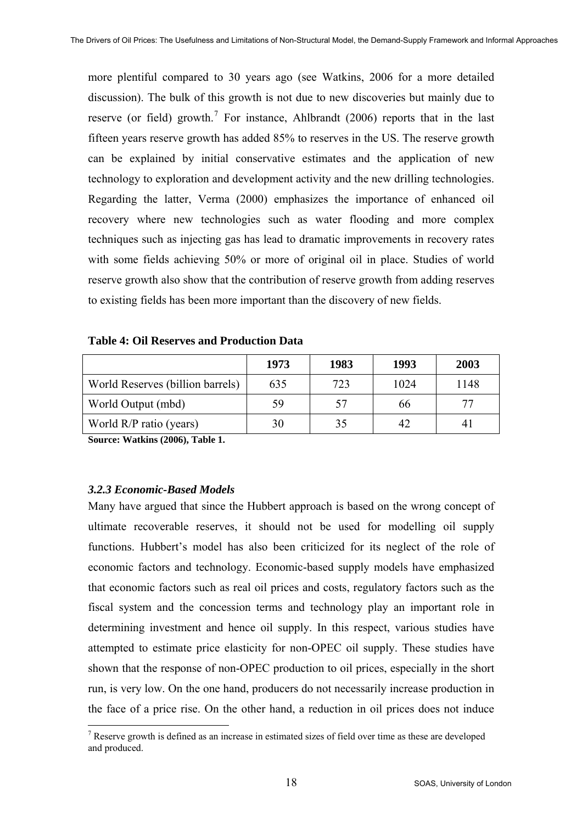more plentiful compared to 30 years ago (see Watkins, 2006 for a more detailed discussion). The bulk of this growth is not due to new discoveries but mainly due to reserve (or field) growth.<sup>[7](#page-17-0)</sup> For instance, Ahlbrandt (2006) reports that in the last fifteen years reserve growth has added 85% to reserves in the US. The reserve growth can be explained by initial conservative estimates and the application of new technology to exploration and development activity and the new drilling technologies. Regarding the latter, Verma (2000) emphasizes the importance of enhanced oil recovery where new technologies such as water flooding and more complex techniques such as injecting gas has lead to dramatic improvements in recovery rates with some fields achieving 50% or more of original oil in place. Studies of world reserve growth also show that the contribution of reserve growth from adding reserves to existing fields has been more important than the discovery of new fields.

|                                  | 1973 | 1983 | 1993 | 2003 |
|----------------------------------|------|------|------|------|
| World Reserves (billion barrels) | 635  | 723  | 1024 | 1148 |
| World Output (mbd)               | 59   | 57   | 66   | 77   |
| World R/P ratio (years)          | 30   | 35   | 42   | 4    |

**Table 4: Oil Reserves and Production Data** 

**Source: Watkins (2006), Table 1.** 

#### *3.2.3 Economic-Based Models*

 $\overline{a}$ 

Many have argued that since the Hubbert approach is based on the wrong concept of ultimate recoverable reserves, it should not be used for modelling oil supply functions. Hubbert's model has also been criticized for its neglect of the role of economic factors and technology. Economic-based supply models have emphasized that economic factors such as real oil prices and costs, regulatory factors such as the fiscal system and the concession terms and technology play an important role in determining investment and hence oil supply. In this respect, various studies have attempted to estimate price elasticity for non-OPEC oil supply. These studies have shown that the response of non-OPEC production to oil prices, especially in the short run, is very low. On the one hand, producers do not necessarily increase production in the face of a price rise. On the other hand, a reduction in oil prices does not induce

<span id="page-17-0"></span><sup>&</sup>lt;sup>7</sup> Reserve growth is defined as an increase in estimated sizes of field over time as these are developed and produced.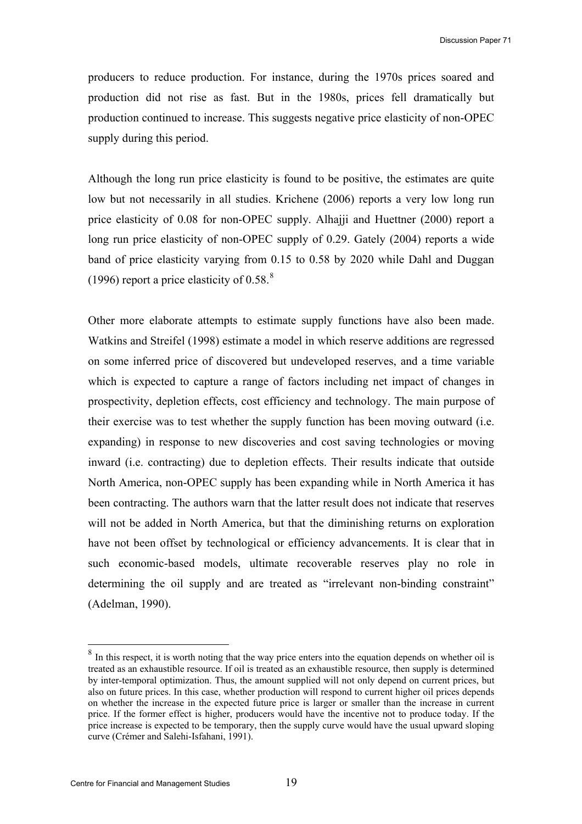producers to reduce production. For instance, during the 1970s prices soared and production did not rise as fast. But in the 1980s, prices fell dramatically but production continued to increase. This suggests negative price elasticity of non-OPEC supply during this period.

Although the long run price elasticity is found to be positive, the estimates are quite low but not necessarily in all studies. Krichene (2006) reports a very low long run price elasticity of 0.08 for non-OPEC supply. Alhajji and Huettner (2000) report a long run price elasticity of non-OPEC supply of 0.29. Gately (2004) reports a wide band of price elasticity varying from 0.15 to 0.58 by 2020 while Dahl and Duggan (1996) report a price elasticity of 0.5[8](#page-18-0). $8$ 

Other more elaborate attempts to estimate supply functions have also been made. Watkins and Streifel (1998) estimate a model in which reserve additions are regressed on some inferred price of discovered but undeveloped reserves, and a time variable which is expected to capture a range of factors including net impact of changes in prospectivity, depletion effects, cost efficiency and technology. The main purpose of their exercise was to test whether the supply function has been moving outward (i.e. expanding) in response to new discoveries and cost saving technologies or moving inward (i.e. contracting) due to depletion effects. Their results indicate that outside North America, non-OPEC supply has been expanding while in North America it has been contracting. The authors warn that the latter result does not indicate that reserves will not be added in North America, but that the diminishing returns on exploration have not been offset by technological or efficiency advancements. It is clear that in such economic-based models, ultimate recoverable reserves play no role in determining the oil supply and are treated as "irrelevant non-binding constraint" (Adelman, 1990).

 $\overline{a}$ 

<span id="page-18-0"></span><sup>&</sup>lt;sup>8</sup> In this respect, it is worth noting that the way price enters into the equation depends on whether oil is treated as an exhaustible resource. If oil is treated as an exhaustible resource, then supply is determined by inter-temporal optimization. Thus, the amount supplied will not only depend on current prices, but also on future prices. In this case, whether production will respond to current higher oil prices depends on whether the increase in the expected future price is larger or smaller than the increase in current price. If the former effect is higher, producers would have the incentive not to produce today. If the price increase is expected to be temporary, then the supply curve would have the usual upward sloping curve (Crémer and Salehi-Isfahani, 1991).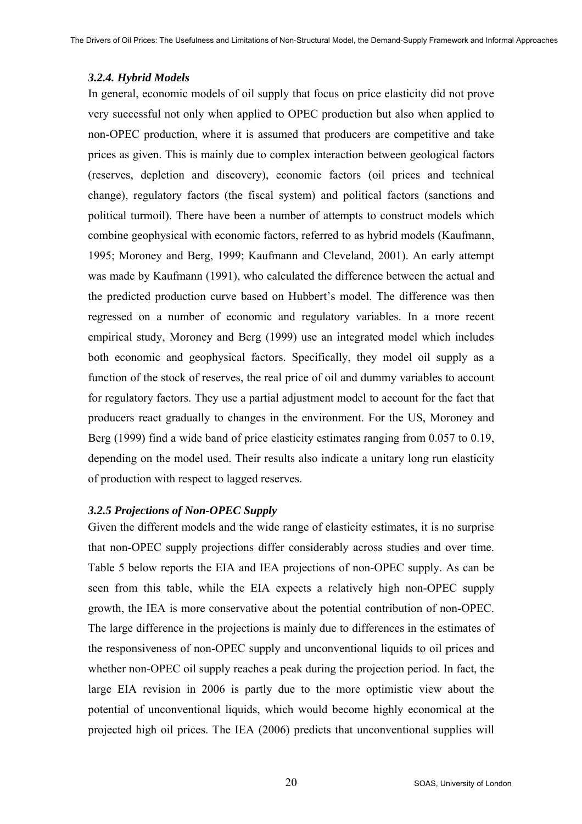#### *3.2.4. Hybrid Models*

In general, economic models of oil supply that focus on price elasticity did not prove very successful not only when applied to OPEC production but also when applied to non-OPEC production, where it is assumed that producers are competitive and take prices as given. This is mainly due to complex interaction between geological factors (reserves, depletion and discovery), economic factors (oil prices and technical change), regulatory factors (the fiscal system) and political factors (sanctions and political turmoil). There have been a number of attempts to construct models which combine geophysical with economic factors, referred to as hybrid models (Kaufmann, 1995; Moroney and Berg, 1999; Kaufmann and Cleveland, 2001). An early attempt was made by Kaufmann (1991), who calculated the difference between the actual and the predicted production curve based on Hubbert's model. The difference was then regressed on a number of economic and regulatory variables. In a more recent empirical study, Moroney and Berg (1999) use an integrated model which includes both economic and geophysical factors. Specifically, they model oil supply as a function of the stock of reserves, the real price of oil and dummy variables to account for regulatory factors. They use a partial adjustment model to account for the fact that producers react gradually to changes in the environment. For the US, Moroney and Berg (1999) find a wide band of price elasticity estimates ranging from 0.057 to 0.19, depending on the model used. Their results also indicate a unitary long run elasticity of production with respect to lagged reserves.

#### *3.2.5 Projections of Non-OPEC Supply*

Given the different models and the wide range of elasticity estimates, it is no surprise that non-OPEC supply projections differ considerably across studies and over time. Table 5 below reports the EIA and IEA projections of non-OPEC supply. As can be seen from this table, while the EIA expects a relatively high non-OPEC supply growth, the IEA is more conservative about the potential contribution of non-OPEC. The large difference in the projections is mainly due to differences in the estimates of the responsiveness of non-OPEC supply and unconventional liquids to oil prices and whether non-OPEC oil supply reaches a peak during the projection period. In fact, the large EIA revision in 2006 is partly due to the more optimistic view about the potential of unconventional liquids, which would become highly economical at the projected high oil prices. The IEA (2006) predicts that unconventional supplies will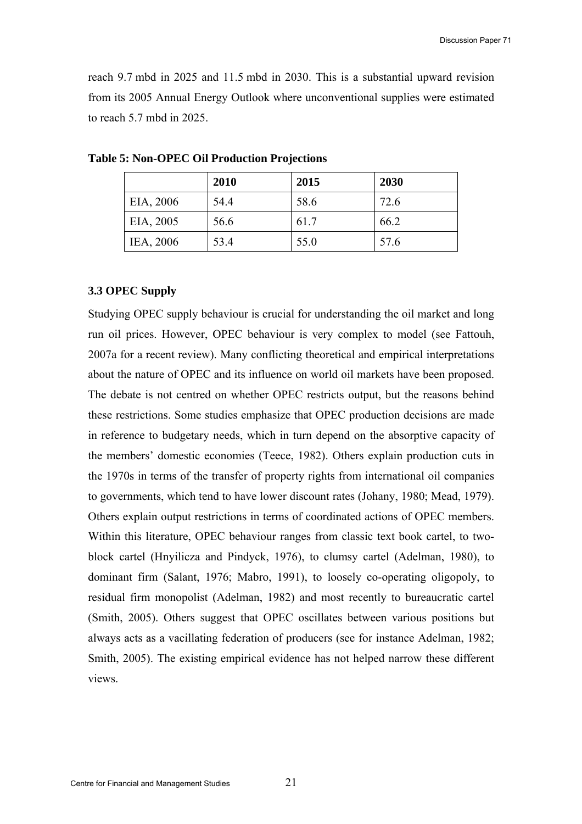reach 9.7 mbd in 2025 and 11.5 mbd in 2030. This is a substantial upward revision from its 2005 Annual Energy Outlook where unconventional supplies were estimated to reach 5.7 mbd in 2025.

|           | 2010 | 2015 | 2030 |
|-----------|------|------|------|
| EIA, 2006 | 54.4 | 58.6 | 72.6 |
| EIA, 2005 | 56.6 | 61.7 | 66.2 |
| IEA, 2006 | 53.4 | 55.0 | 57.6 |

**Table 5: Non-OPEC Oil Production Projections** 

#### **3.3 OPEC Supply**

Studying OPEC supply behaviour is crucial for understanding the oil market and long run oil prices. However, OPEC behaviour is very complex to model (see Fattouh, 2007a for a recent review). Many conflicting theoretical and empirical interpretations about the nature of OPEC and its influence on world oil markets have been proposed. The debate is not centred on whether OPEC restricts output, but the reasons behind these restrictions. Some studies emphasize that OPEC production decisions are made in reference to budgetary needs, which in turn depend on the absorptive capacity of the members' domestic economies (Teece, 1982). Others explain production cuts in the 1970s in terms of the transfer of property rights from international oil companies to governments, which tend to have lower discount rates (Johany, 1980; Mead, 1979). Others explain output restrictions in terms of coordinated actions of OPEC members. Within this literature, OPEC behaviour ranges from classic text book cartel, to twoblock cartel (Hnyilicza and Pindyck, 1976), to clumsy cartel (Adelman, 1980), to dominant firm (Salant, 1976; Mabro, 1991), to loosely co-operating oligopoly, to residual firm monopolist (Adelman, 1982) and most recently to bureaucratic cartel (Smith, 2005). Others suggest that OPEC oscillates between various positions but always acts as a vacillating federation of producers (see for instance Adelman, 1982; Smith, 2005). The existing empirical evidence has not helped narrow these different views.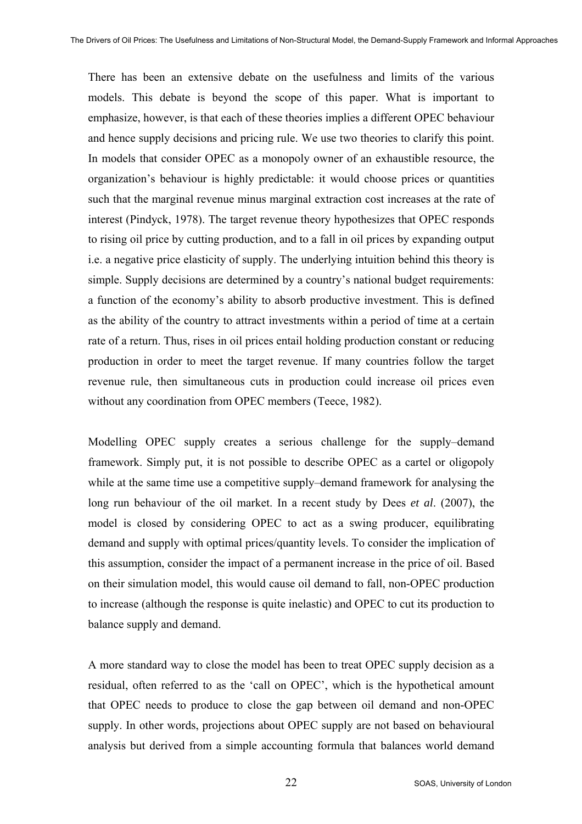There has been an extensive debate on the usefulness and limits of the various models. This debate is beyond the scope of this paper. What is important to emphasize, however, is that each of these theories implies a different OPEC behaviour and hence supply decisions and pricing rule. We use two theories to clarify this point. In models that consider OPEC as a monopoly owner of an exhaustible resource, the organization's behaviour is highly predictable: it would choose prices or quantities such that the marginal revenue minus marginal extraction cost increases at the rate of interest (Pindyck, 1978). The target revenue theory hypothesizes that OPEC responds to rising oil price by cutting production, and to a fall in oil prices by expanding output i.e. a negative price elasticity of supply. The underlying intuition behind this theory is simple. Supply decisions are determined by a country's national budget requirements: a function of the economy's ability to absorb productive investment. This is defined as the ability of the country to attract investments within a period of time at a certain rate of a return. Thus, rises in oil prices entail holding production constant or reducing production in order to meet the target revenue. If many countries follow the target revenue rule, then simultaneous cuts in production could increase oil prices even without any coordination from OPEC members (Teece, 1982).

Modelling OPEC supply creates a serious challenge for the supply–demand framework. Simply put, it is not possible to describe OPEC as a cartel or oligopoly while at the same time use a competitive supply–demand framework for analysing the long run behaviour of the oil market. In a recent study by Dees *et al*. (2007), the model is closed by considering OPEC to act as a swing producer, equilibrating demand and supply with optimal prices/quantity levels. To consider the implication of this assumption, consider the impact of a permanent increase in the price of oil. Based on their simulation model, this would cause oil demand to fall, non-OPEC production to increase (although the response is quite inelastic) and OPEC to cut its production to balance supply and demand.

A more standard way to close the model has been to treat OPEC supply decision as a residual, often referred to as the 'call on OPEC', which is the hypothetical amount that OPEC needs to produce to close the gap between oil demand and non-OPEC supply. In other words, projections about OPEC supply are not based on behavioural analysis but derived from a simple accounting formula that balances world demand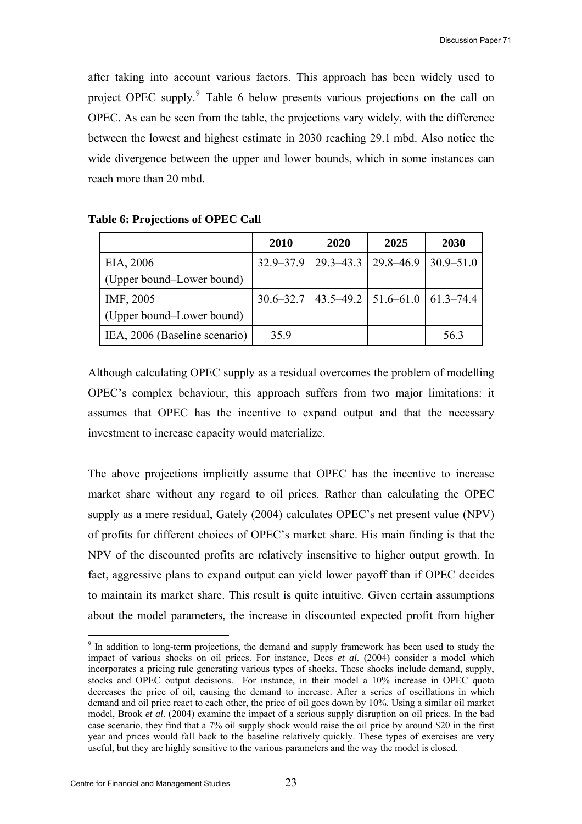after taking into account various factors. This approach has been widely used to project OPEC supply.<sup>[9](#page-22-0)</sup> Table 6 below presents various projections on the call on OPEC. As can be seen from the table, the projections vary widely, with the difference between the lowest and highest estimate in 2030 reaching 29.1 mbd. Also notice the wide divergence between the upper and lower bounds, which in some instances can reach more than 20 mbd.

|                               | <b>2010</b> | 2020                                                    | 2025 | <b>2030</b>   |
|-------------------------------|-------------|---------------------------------------------------------|------|---------------|
| EIA, 2006                     |             | $32.9 - 37.9$   29.3-43.3   29.8-46.9                   |      | $30.9 - 51.0$ |
| (Upper bound–Lower bound)     |             |                                                         |      |               |
| IMF, 2005                     |             | $30.6 - 32.7$   43.5 - 49.2   51.6 - 61.0   61.3 - 74.4 |      |               |
| (Upper bound–Lower bound)     |             |                                                         |      |               |
| IEA, 2006 (Baseline scenario) | 35.9        |                                                         |      | 56.3          |

#### **Table 6: Projections of OPEC Call**

Although calculating OPEC supply as a residual overcomes the problem of modelling OPEC's complex behaviour, this approach suffers from two major limitations: it assumes that OPEC has the incentive to expand output and that the necessary investment to increase capacity would materialize.

The above projections implicitly assume that OPEC has the incentive to increase market share without any regard to oil prices. Rather than calculating the OPEC supply as a mere residual, Gately (2004) calculates OPEC's net present value (NPV) of profits for different choices of OPEC's market share. His main finding is that the NPV of the discounted profits are relatively insensitive to higher output growth. In fact, aggressive plans to expand output can yield lower payoff than if OPEC decides to maintain its market share. This result is quite intuitive. Given certain assumptions about the model parameters, the increase in discounted expected profit from higher

 $\overline{a}$ 

<span id="page-22-0"></span><sup>&</sup>lt;sup>9</sup> In addition to long-term projections, the demand and supply framework has been used to study the impact of various shocks on oil prices. For instance, Dees *et al*. (2004) consider a model which incorporates a pricing rule generating various types of shocks. These shocks include demand, supply, stocks and OPEC output decisions. For instance, in their model a 10% increase in OPEC quota decreases the price of oil, causing the demand to increase. After a series of oscillations in which demand and oil price react to each other, the price of oil goes down by 10%. Using a similar oil market model, Brook *et al*. (2004) examine the impact of a serious supply disruption on oil prices. In the bad case scenario, they find that a 7% oil supply shock would raise the oil price by around \$20 in the first year and prices would fall back to the baseline relatively quickly. These types of exercises are very useful, but they are highly sensitive to the various parameters and the way the model is closed.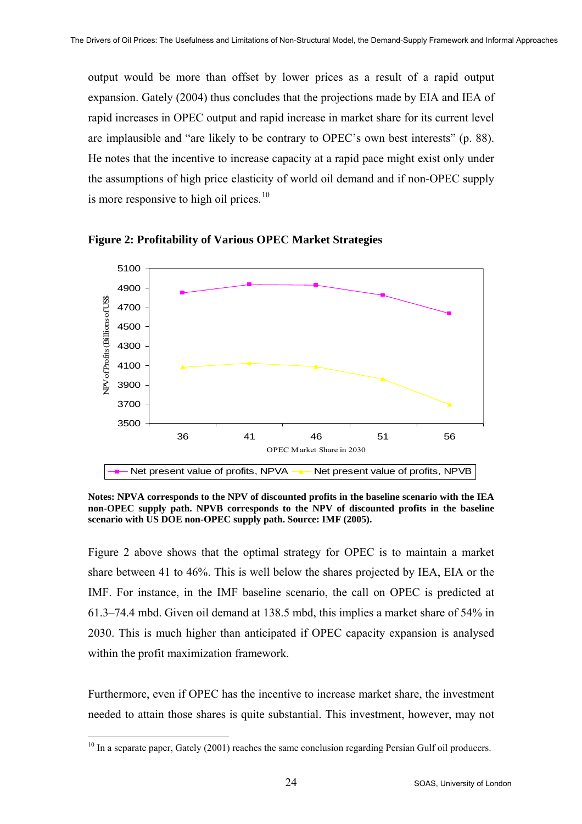output would be more than offset by lower prices as a result of a rapid output expansion. Gately (2004) thus concludes that the projections made by EIA and IEA of rapid increases in OPEC output and rapid increase in market share for its current level are implausible and "are likely to be contrary to OPEC's own best interests" (p. 88). He notes that the incentive to increase capacity at a rapid pace might exist only under the assumptions of high price elasticity of world oil demand and if non-OPEC supply is more responsive to high oil prices. $10$ 



**Figure 2: Profitability of Various OPEC Market Strategies** 

**Notes: NPVA corresponds to the NPV of discounted profits in the baseline scenario with the IEA non-OPEC supply path. NPVB corresponds to the NPV of discounted profits in the baseline scenario with US DOE non-OPEC supply path. Source: IMF (2005).** 

Figure 2 above shows that the optimal strategy for OPEC is to maintain a market share between 41 to 46%. This is well below the shares projected by IEA, EIA or the IMF. For instance, in the IMF baseline scenario, the call on OPEC is predicted at 61.3–74.4 mbd. Given oil demand at 138.5 mbd, this implies a market share of 54% in 2030. This is much higher than anticipated if OPEC capacity expansion is analysed within the profit maximization framework.

Furthermore, even if OPEC has the incentive to increase market share, the investment needed to attain those shares is quite substantial. This investment, however, may not

 $\overline{a}$ 

<span id="page-23-0"></span> $10$  In a separate paper, Gately (2001) reaches the same conclusion regarding Persian Gulf oil producers.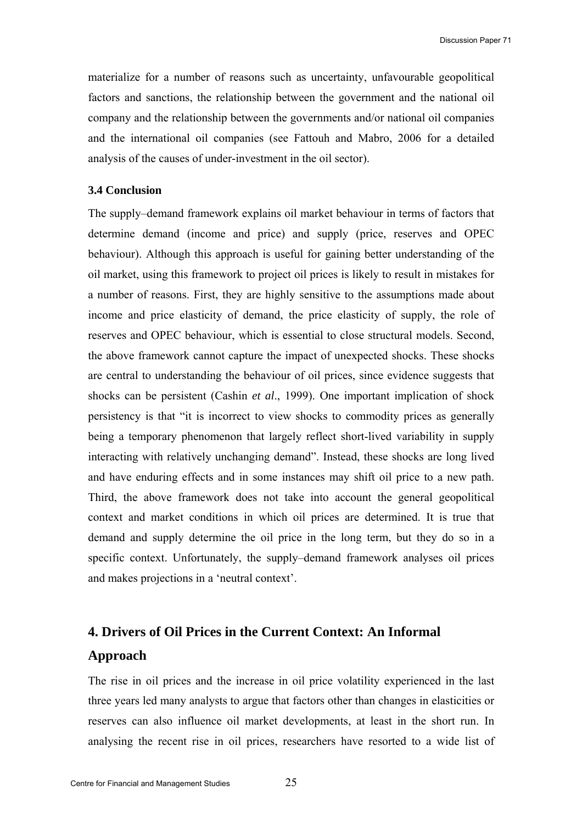materialize for a number of reasons such as uncertainty, unfavourable geopolitical factors and sanctions, the relationship between the government and the national oil company and the relationship between the governments and/or national oil companies and the international oil companies (see Fattouh and Mabro, 2006 for a detailed analysis of the causes of under-investment in the oil sector).

#### **3.4 Conclusion**

The supply–demand framework explains oil market behaviour in terms of factors that determine demand (income and price) and supply (price, reserves and OPEC behaviour). Although this approach is useful for gaining better understanding of the oil market, using this framework to project oil prices is likely to result in mistakes for a number of reasons. First, they are highly sensitive to the assumptions made about income and price elasticity of demand, the price elasticity of supply, the role of reserves and OPEC behaviour, which is essential to close structural models. Second, the above framework cannot capture the impact of unexpected shocks. These shocks are central to understanding the behaviour of oil prices, since evidence suggests that shocks can be persistent (Cashin *et al*., 1999). One important implication of shock persistency is that "it is incorrect to view shocks to commodity prices as generally being a temporary phenomenon that largely reflect short-lived variability in supply interacting with relatively unchanging demand". Instead, these shocks are long lived and have enduring effects and in some instances may shift oil price to a new path. Third, the above framework does not take into account the general geopolitical context and market conditions in which oil prices are determined. It is true that demand and supply determine the oil price in the long term, but they do so in a specific context. Unfortunately, the supply–demand framework analyses oil prices and makes projections in a 'neutral context'.

# **4. Drivers of Oil Prices in the Current Context: An Informal Approach**

The rise in oil prices and the increase in oil price volatility experienced in the last three years led many analysts to argue that factors other than changes in elasticities or reserves can also influence oil market developments, at least in the short run. In analysing the recent rise in oil prices, researchers have resorted to a wide list of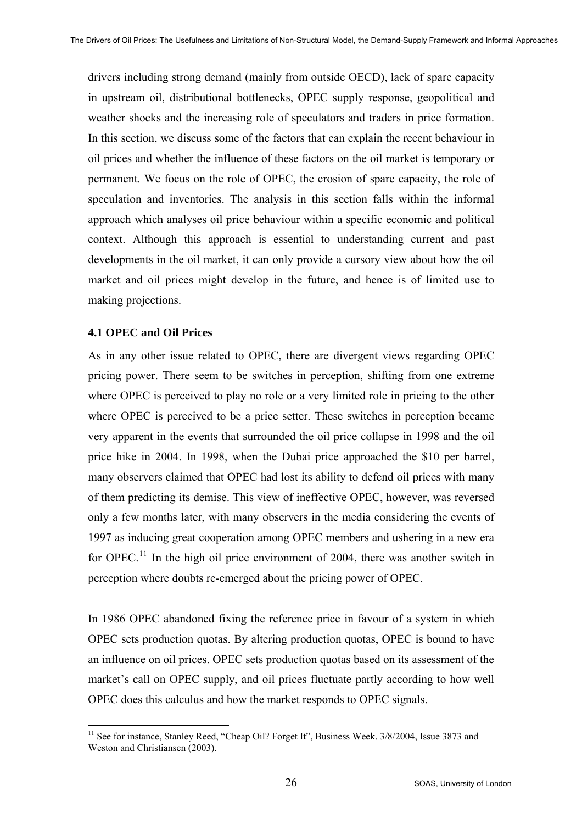drivers including strong demand (mainly from outside OECD), lack of spare capacity in upstream oil, distributional bottlenecks, OPEC supply response, geopolitical and weather shocks and the increasing role of speculators and traders in price formation. In this section, we discuss some of the factors that can explain the recent behaviour in oil prices and whether the influence of these factors on the oil market is temporary or permanent. We focus on the role of OPEC, the erosion of spare capacity, the role of speculation and inventories. The analysis in this section falls within the informal approach which analyses oil price behaviour within a specific economic and political context. Although this approach is essential to understanding current and past developments in the oil market, it can only provide a cursory view about how the oil market and oil prices might develop in the future, and hence is of limited use to making projections.

#### **4.1 OPEC and Oil Prices**

As in any other issue related to OPEC, there are divergent views regarding OPEC pricing power. There seem to be switches in perception, shifting from one extreme where OPEC is perceived to play no role or a very limited role in pricing to the other where OPEC is perceived to be a price setter. These switches in perception became very apparent in the events that surrounded the oil price collapse in 1998 and the oil price hike in 2004. In 1998, when the Dubai price approached the \$10 per barrel, many observers claimed that OPEC had lost its ability to defend oil prices with many of them predicting its demise. This view of ineffective OPEC, however, was reversed only a few months later, with many observers in the media considering the events of 1997 as inducing great cooperation among OPEC members and ushering in a new era for OPEC.<sup>[11](#page-25-0)</sup> In the high oil price environment of 2004, there was another switch in perception where doubts re-emerged about the pricing power of OPEC.

In 1986 OPEC abandoned fixing the reference price in favour of a system in which OPEC sets production quotas. By altering production quotas, OPEC is bound to have an influence on oil prices. OPEC sets production quotas based on its assessment of the market's call on OPEC supply, and oil prices fluctuate partly according to how well OPEC does this calculus and how the market responds to OPEC signals.

<span id="page-25-0"></span> $\overline{a}$ <sup>11</sup> See for instance, Stanley Reed, "Cheap Oil? Forget It", Business Week, 3/8/2004, Issue 3873 and Weston and Christiansen (2003).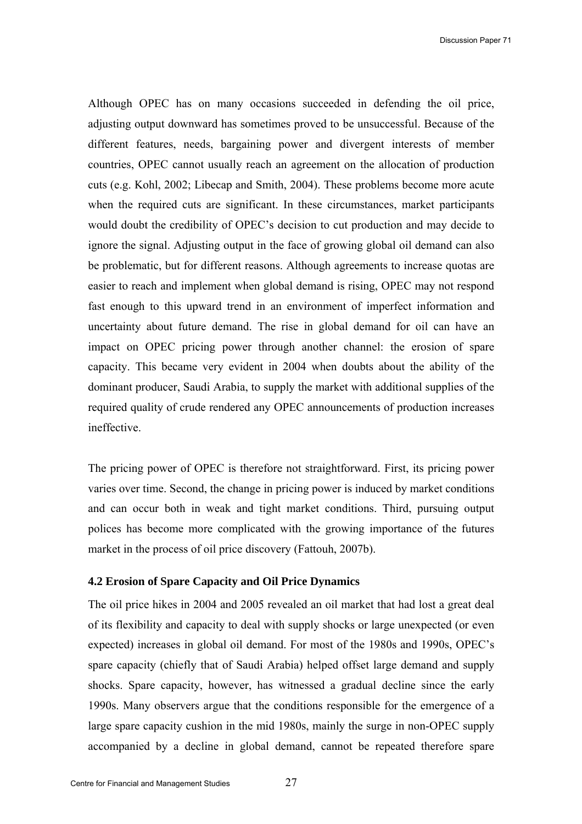Discussion Paper 71

Although OPEC has on many occasions succeeded in defending the oil price, adjusting output downward has sometimes proved to be unsuccessful. Because of the different features, needs, bargaining power and divergent interests of member countries, OPEC cannot usually reach an agreement on the allocation of production cuts (e.g. Kohl, 2002; Libecap and Smith, 2004). These problems become more acute when the required cuts are significant. In these circumstances, market participants would doubt the credibility of OPEC's decision to cut production and may decide to ignore the signal. Adjusting output in the face of growing global oil demand can also be problematic, but for different reasons. Although agreements to increase quotas are easier to reach and implement when global demand is rising, OPEC may not respond fast enough to this upward trend in an environment of imperfect information and uncertainty about future demand. The rise in global demand for oil can have an impact on OPEC pricing power through another channel: the erosion of spare capacity. This became very evident in 2004 when doubts about the ability of the dominant producer, Saudi Arabia, to supply the market with additional supplies of the required quality of crude rendered any OPEC announcements of production increases ineffective.

The pricing power of OPEC is therefore not straightforward. First, its pricing power varies over time. Second, the change in pricing power is induced by market conditions and can occur both in weak and tight market conditions. Third, pursuing output polices has become more complicated with the growing importance of the futures market in the process of oil price discovery (Fattouh, 2007b).

#### **4.2 Erosion of Spare Capacity and Oil Price Dynamics**

The oil price hikes in 2004 and 2005 revealed an oil market that had lost a great deal of its flexibility and capacity to deal with supply shocks or large unexpected (or even expected) increases in global oil demand. For most of the 1980s and 1990s, OPEC's spare capacity (chiefly that of Saudi Arabia) helped offset large demand and supply shocks. Spare capacity, however, has witnessed a gradual decline since the early 1990s. Many observers argue that the conditions responsible for the emergence of a large spare capacity cushion in the mid 1980s, mainly the surge in non-OPEC supply accompanied by a decline in global demand, cannot be repeated therefore spare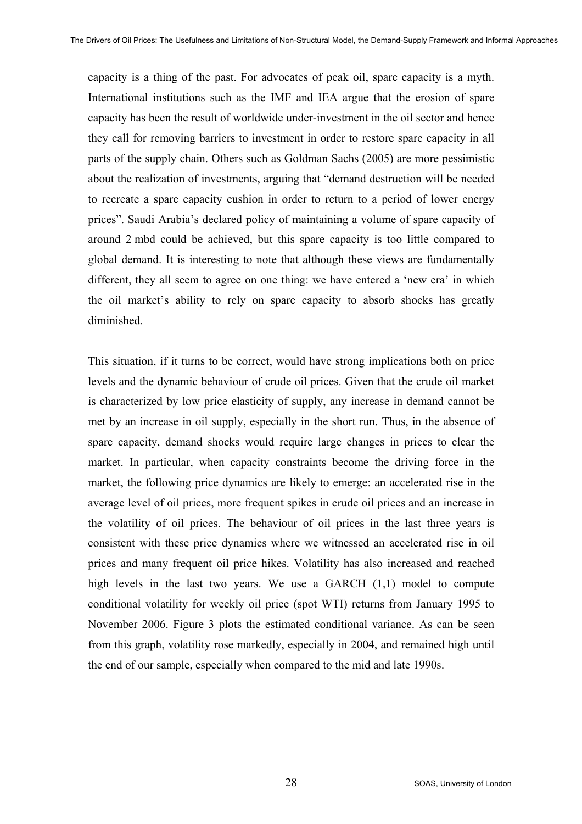capacity is a thing of the past. For advocates of peak oil, spare capacity is a myth. International institutions such as the IMF and IEA argue that the erosion of spare capacity has been the result of worldwide under-investment in the oil sector and hence they call for removing barriers to investment in order to restore spare capacity in all parts of the supply chain. Others such as Goldman Sachs (2005) are more pessimistic about the realization of investments, arguing that "demand destruction will be needed to recreate a spare capacity cushion in order to return to a period of lower energy prices". Saudi Arabia's declared policy of maintaining a volume of spare capacity of around 2 mbd could be achieved, but this spare capacity is too little compared to global demand. It is interesting to note that although these views are fundamentally different, they all seem to agree on one thing: we have entered a 'new era' in which the oil market's ability to rely on spare capacity to absorb shocks has greatly diminished.

This situation, if it turns to be correct, would have strong implications both on price levels and the dynamic behaviour of crude oil prices. Given that the crude oil market is characterized by low price elasticity of supply, any increase in demand cannot be met by an increase in oil supply, especially in the short run. Thus, in the absence of spare capacity, demand shocks would require large changes in prices to clear the market. In particular, when capacity constraints become the driving force in the market, the following price dynamics are likely to emerge: an accelerated rise in the average level of oil prices, more frequent spikes in crude oil prices and an increase in the volatility of oil prices. The behaviour of oil prices in the last three years is consistent with these price dynamics where we witnessed an accelerated rise in oil prices and many frequent oil price hikes. Volatility has also increased and reached high levels in the last two years. We use a GARCH  $(1,1)$  model to compute conditional volatility for weekly oil price (spot WTI) returns from January 1995 to November 2006. Figure 3 plots the estimated conditional variance. As can be seen from this graph, volatility rose markedly, especially in 2004, and remained high until the end of our sample, especially when compared to the mid and late 1990s.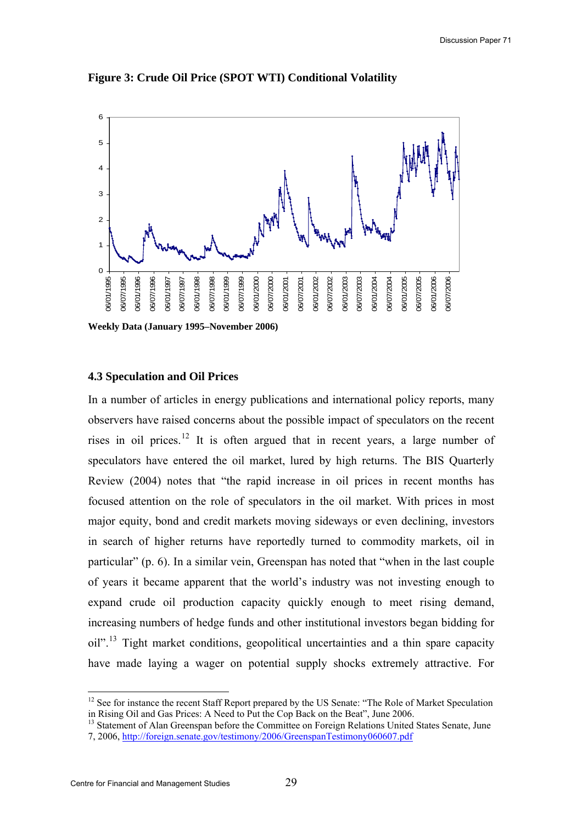Discussion Paper 71



**Figure 3: Crude Oil Price (SPOT WTI) Conditional Volatility** 

#### **4.3 Speculation and Oil Prices**

In a number of articles in energy publications and international policy reports, many observers have raised concerns about the possible impact of speculators on the recent rises in oil prices.<sup>[12](#page-28-0)</sup> It is often argued that in recent years, a large number of speculators have entered the oil market, lured by high returns. The BIS Quarterly Review (2004) notes that "the rapid increase in oil prices in recent months has focused attention on the role of speculators in the oil market. With prices in most major equity, bond and credit markets moving sideways or even declining, investors in search of higher returns have reportedly turned to commodity markets, oil in particular" (p. 6). In a similar vein, Greenspan has noted that "when in the last couple of years it became apparent that the world's industry was not investing enough to expand crude oil production capacity quickly enough to meet rising demand, increasing numbers of hedge funds and other institutional investors began bidding for  $\text{oil}$ <sup>", [13](#page-28-1)</sup> Tight market conditions, geopolitical uncertainties and a thin spare capacity have made laying a wager on potential supply shocks extremely attractive. For

 $\overline{a}$ 

<span id="page-28-0"></span><sup>&</sup>lt;sup>12</sup> See for instance the recent Staff Report prepared by the US Senate: "The Role of Market Speculation in Rising Oil and Gas Prices: A Need to Put the Cop Back on the Beat", June 2006.

<span id="page-28-1"></span><sup>&</sup>lt;sup>13</sup> Statement of Alan Greenspan before the Committee on Foreign Relations United States Senate, June 7, 2006,<http://foreign.senate.gov/testimony/2006/GreenspanTestimony060607.pdf>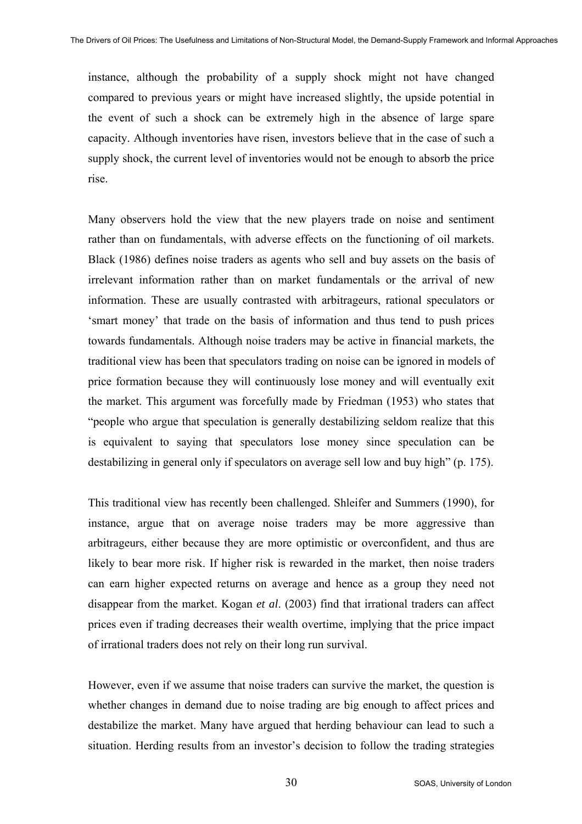instance, although the probability of a supply shock might not have changed compared to previous years or might have increased slightly, the upside potential in the event of such a shock can be extremely high in the absence of large spare capacity. Although inventories have risen, investors believe that in the case of such a supply shock, the current level of inventories would not be enough to absorb the price rise.

Many observers hold the view that the new players trade on noise and sentiment rather than on fundamentals, with adverse effects on the functioning of oil markets. Black (1986) defines noise traders as agents who sell and buy assets on the basis of irrelevant information rather than on market fundamentals or the arrival of new information. These are usually contrasted with arbitrageurs, rational speculators or 'smart money' that trade on the basis of information and thus tend to push prices towards fundamentals. Although noise traders may be active in financial markets, the traditional view has been that speculators trading on noise can be ignored in models of price formation because they will continuously lose money and will eventually exit the market. This argument was forcefully made by Friedman (1953) who states that "people who argue that speculation is generally destabilizing seldom realize that this is equivalent to saying that speculators lose money since speculation can be destabilizing in general only if speculators on average sell low and buy high" (p. 175).

This traditional view has recently been challenged. Shleifer and Summers (1990), for instance, argue that on average noise traders may be more aggressive than arbitrageurs, either because they are more optimistic or overconfident, and thus are likely to bear more risk. If higher risk is rewarded in the market, then noise traders can earn higher expected returns on average and hence as a group they need not disappear from the market. Kogan *et al*. (2003) find that irrational traders can affect prices even if trading decreases their wealth overtime, implying that the price impact of irrational traders does not rely on their long run survival.

However, even if we assume that noise traders can survive the market, the question is whether changes in demand due to noise trading are big enough to affect prices and destabilize the market. Many have argued that herding behaviour can lead to such a situation. Herding results from an investor's decision to follow the trading strategies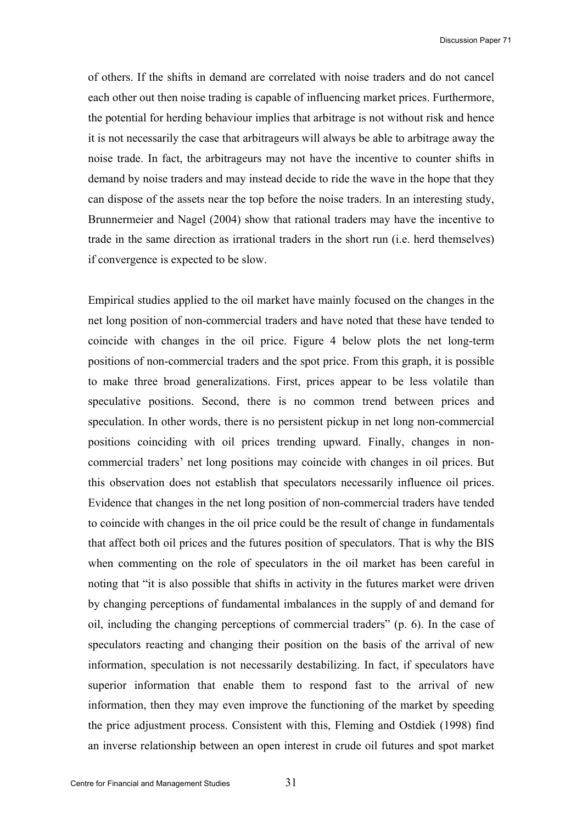of others. If the shifts in demand are correlated with noise traders and do not cancel each other out then noise trading is capable of influencing market prices. Furthermore, the potential for herding behaviour implies that arbitrage is not without risk and hence it is not necessarily the case that arbitrageurs will always be able to arbitrage away the noise trade. In fact, the arbitrageurs may not have the incentive to counter shifts in demand by noise traders and may instead decide to ride the wave in the hope that they can dispose of the assets near the top before the noise traders. In an interesting study, Brunnermeier and Nagel (2004) show that rational traders may have the incentive to trade in the same direction as irrational traders in the short run (i.e. herd themselves) if convergence is expected to be slow.

Empirical studies applied to the oil market have mainly focused on the changes in the net long position of non-commercial traders and have noted that these have tended to coincide with changes in the oil price. Figure 4 below plots the net long-term positions of non-commercial traders and the spot price. From this graph, it is possible to make three broad generalizations. First, prices appear to be less volatile than speculative positions. Second, there is no common trend between prices and speculation. In other words, there is no persistent pickup in net long non-commercial positions coinciding with oil prices trending upward. Finally, changes in noncommercial traders' net long positions may coincide with changes in oil prices. But this observation does not establish that speculators necessarily influence oil prices. Evidence that changes in the net long position of non-commercial traders have tended to coincide with changes in the oil price could be the result of change in fundamentals that affect both oil prices and the futures position of speculators. That is why the BIS when commenting on the role of speculators in the oil market has been careful in noting that "it is also possible that shifts in activity in the futures market were driven by changing perceptions of fundamental imbalances in the supply of and demand for oil, including the changing perceptions of commercial traders" (p. 6). In the case of speculators reacting and changing their position on the basis of the arrival of new information, speculation is not necessarily destabilizing. In fact, if speculators have superior information that enable them to respond fast to the arrival of new information, then they may even improve the functioning of the market by speeding the price adjustment process. Consistent with this, Fleming and Ostdiek (1998) find an inverse relationship between an open interest in crude oil futures and spot market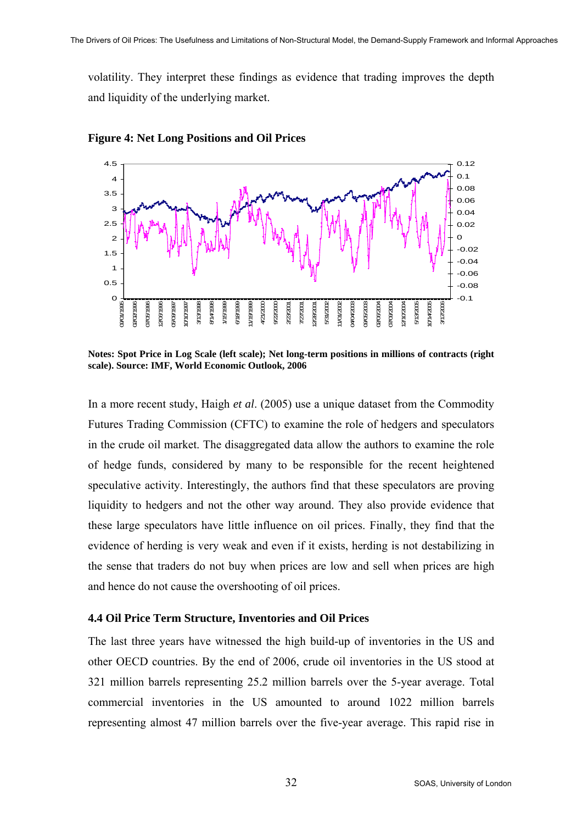volatility. They interpret these findings as evidence that trading improves the depth and liquidity of the underlying market.





**Notes: Spot Price in Log Scale (left scale); Net long-term positions in millions of contracts (right scale). Source: IMF, World Economic Outlook, 2006** 

In a more recent study, Haigh *et al*. (2005) use a unique dataset from the Commodity Futures Trading Commission (CFTC) to examine the role of hedgers and speculators in the crude oil market. The disaggregated data allow the authors to examine the role of hedge funds, considered by many to be responsible for the recent heightened speculative activity. Interestingly, the authors find that these speculators are proving liquidity to hedgers and not the other way around. They also provide evidence that these large speculators have little influence on oil prices. Finally, they find that the evidence of herding is very weak and even if it exists, herding is not destabilizing in the sense that traders do not buy when prices are low and sell when prices are high and hence do not cause the overshooting of oil prices.

#### **4.4 Oil Price Term Structure, Inventories and Oil Prices**

The last three years have witnessed the high build-up of inventories in the US and other OECD countries. By the end of 2006, crude oil inventories in the US stood at 321 million barrels representing 25.2 million barrels over the 5-year average. Total commercial inventories in the US amounted to around 1022 million barrels representing almost 47 million barrels over the five-year average. This rapid rise in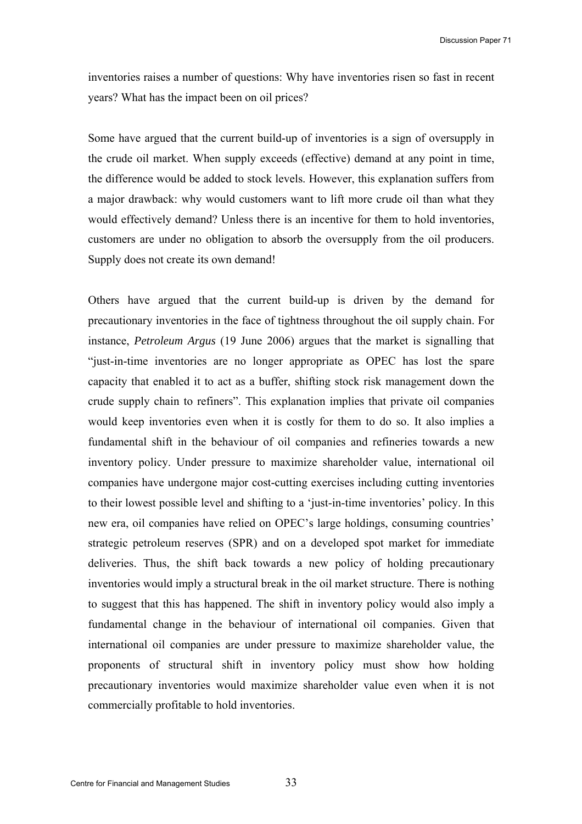inventories raises a number of questions: Why have inventories risen so fast in recent years? What has the impact been on oil prices?

Some have argued that the current build-up of inventories is a sign of oversupply in the crude oil market. When supply exceeds (effective) demand at any point in time, the difference would be added to stock levels. However, this explanation suffers from a major drawback: why would customers want to lift more crude oil than what they would effectively demand? Unless there is an incentive for them to hold inventories, customers are under no obligation to absorb the oversupply from the oil producers. Supply does not create its own demand!

Others have argued that the current build-up is driven by the demand for precautionary inventories in the face of tightness throughout the oil supply chain. For instance, *Petroleum Argus* (19 June 2006) argues that the market is signalling that "just-in-time inventories are no longer appropriate as OPEC has lost the spare capacity that enabled it to act as a buffer, shifting stock risk management down the crude supply chain to refiners". This explanation implies that private oil companies would keep inventories even when it is costly for them to do so. It also implies a fundamental shift in the behaviour of oil companies and refineries towards a new inventory policy. Under pressure to maximize shareholder value, international oil companies have undergone major cost-cutting exercises including cutting inventories to their lowest possible level and shifting to a 'just-in-time inventories' policy. In this new era, oil companies have relied on OPEC's large holdings, consuming countries' strategic petroleum reserves (SPR) and on a developed spot market for immediate deliveries. Thus, the shift back towards a new policy of holding precautionary inventories would imply a structural break in the oil market structure. There is nothing to suggest that this has happened. The shift in inventory policy would also imply a fundamental change in the behaviour of international oil companies. Given that international oil companies are under pressure to maximize shareholder value, the proponents of structural shift in inventory policy must show how holding precautionary inventories would maximize shareholder value even when it is not commercially profitable to hold inventories.

33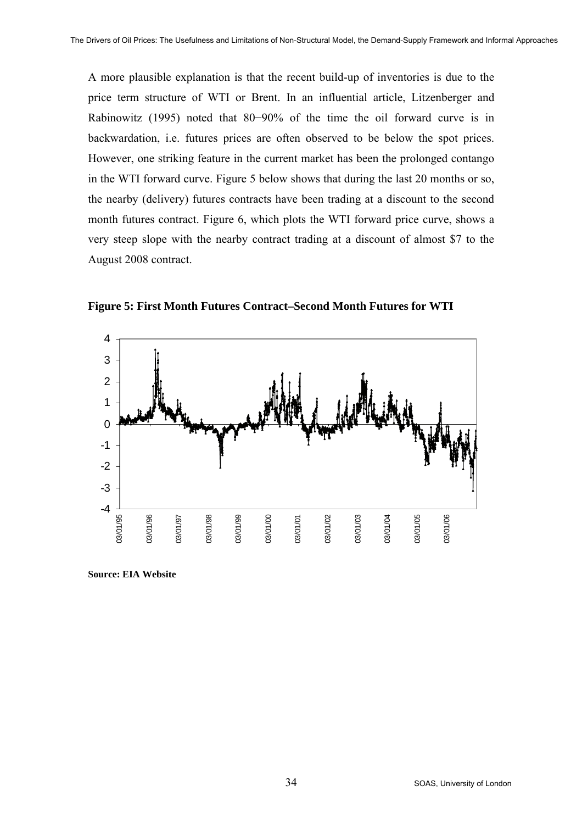A more plausible explanation is that the recent build-up of inventories is due to the price term structure of WTI or Brent. In an influential article, Litzenberger and Rabinowitz (1995) noted that 80−90% of the time the oil forward curve is in backwardation, i.e. futures prices are often observed to be below the spot prices. However, one striking feature in the current market has been the prolonged contango in the WTI forward curve. Figure 5 below shows that during the last 20 months or so, the nearby (delivery) futures contracts have been trading at a discount to the second month futures contract. Figure 6, which plots the WTI forward price curve, shows a very steep slope with the nearby contract trading at a discount of almost \$7 to the August 2008 contract.



**Figure 5: First Month Futures Contract–Second Month Futures for WTI** 

**Source: EIA Website**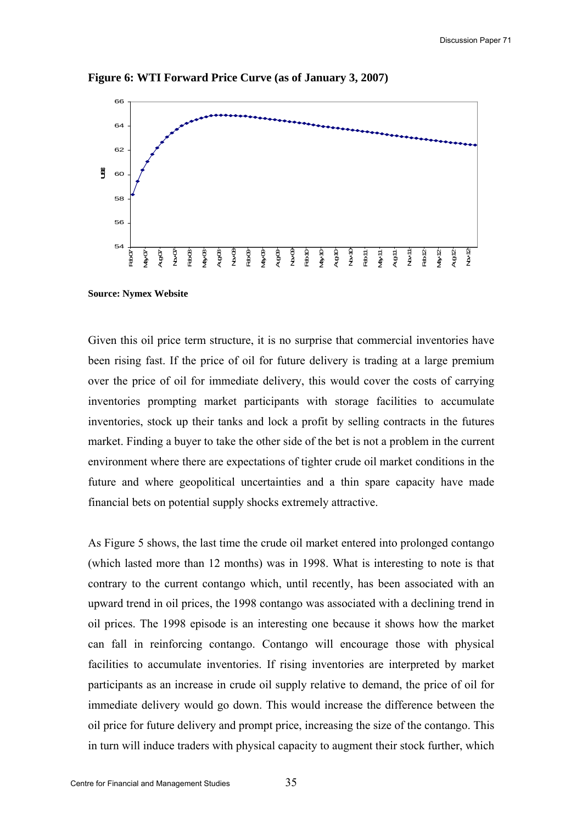Discussion Paper 71



**Figure 6: WTI Forward Price Curve (as of January 3, 2007)** 

**Source: Nymex Website** 

Given this oil price term structure, it is no surprise that commercial inventories have been rising fast. If the price of oil for future delivery is trading at a large premium over the price of oil for immediate delivery, this would cover the costs of carrying inventories prompting market participants with storage facilities to accumulate inventories, stock up their tanks and lock a profit by selling contracts in the futures market. Finding a buyer to take the other side of the bet is not a problem in the current environment where there are expectations of tighter crude oil market conditions in the future and where geopolitical uncertainties and a thin spare capacity have made financial bets on potential supply shocks extremely attractive.

As Figure 5 shows, the last time the crude oil market entered into prolonged contango (which lasted more than 12 months) was in 1998. What is interesting to note is that contrary to the current contango which, until recently, has been associated with an upward trend in oil prices, the 1998 contango was associated with a declining trend in oil prices. The 1998 episode is an interesting one because it shows how the market can fall in reinforcing contango. Contango will encourage those with physical facilities to accumulate inventories. If rising inventories are interpreted by market participants as an increase in crude oil supply relative to demand, the price of oil for immediate delivery would go down. This would increase the difference between the oil price for future delivery and prompt price, increasing the size of the contango. This in turn will induce traders with physical capacity to augment their stock further, which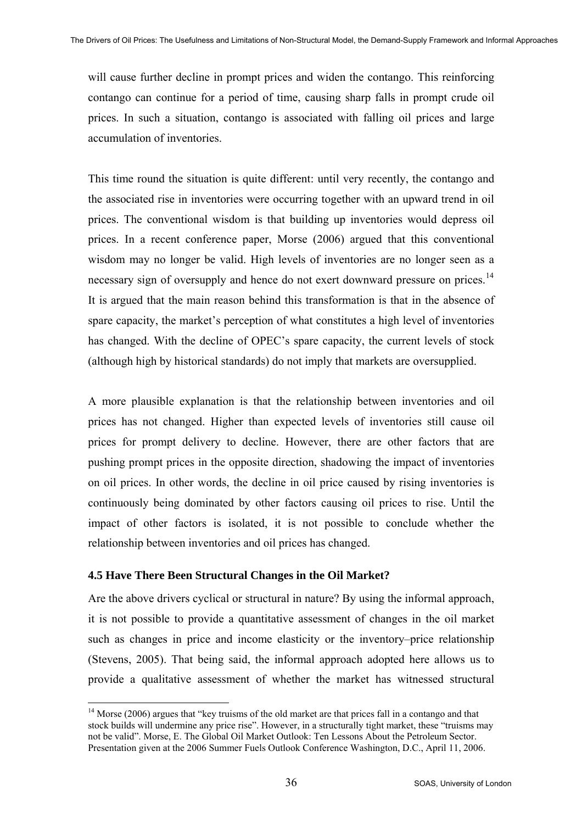will cause further decline in prompt prices and widen the contango. This reinforcing contango can continue for a period of time, causing sharp falls in prompt crude oil prices. In such a situation, contango is associated with falling oil prices and large accumulation of inventories.

This time round the situation is quite different: until very recently, the contango and the associated rise in inventories were occurring together with an upward trend in oil prices. The conventional wisdom is that building up inventories would depress oil prices. In a recent conference paper, Morse (2006) argued that this conventional wisdom may no longer be valid. High levels of inventories are no longer seen as a necessary sign of oversupply and hence do not exert downward pressure on prices.<sup>[14](#page-35-0)</sup> It is argued that the main reason behind this transformation is that in the absence of spare capacity, the market's perception of what constitutes a high level of inventories has changed. With the decline of OPEC's spare capacity, the current levels of stock (although high by historical standards) do not imply that markets are oversupplied.

A more plausible explanation is that the relationship between inventories and oil prices has not changed. Higher than expected levels of inventories still cause oil prices for prompt delivery to decline. However, there are other factors that are pushing prompt prices in the opposite direction, shadowing the impact of inventories on oil prices. In other words, the decline in oil price caused by rising inventories is continuously being dominated by other factors causing oil prices to rise. Until the impact of other factors is isolated, it is not possible to conclude whether the relationship between inventories and oil prices has changed.

#### **4.5 Have There Been Structural Changes in the Oil Market?**

 $\overline{a}$ 

Are the above drivers cyclical or structural in nature? By using the informal approach, it is not possible to provide a quantitative assessment of changes in the oil market such as changes in price and income elasticity or the inventory–price relationship (Stevens, 2005). That being said, the informal approach adopted here allows us to provide a qualitative assessment of whether the market has witnessed structural

<span id="page-35-0"></span><sup>&</sup>lt;sup>14</sup> Morse (2006) argues that "key truisms of the old market are that prices fall in a contango and that stock builds will undermine any price rise". However, in a structurally tight market, these "truisms may not be valid". Morse, E. The Global Oil Market Outlook: Ten Lessons About the Petroleum Sector. Presentation given at the 2006 Summer Fuels Outlook Conference Washington, D.C., April 11, 2006.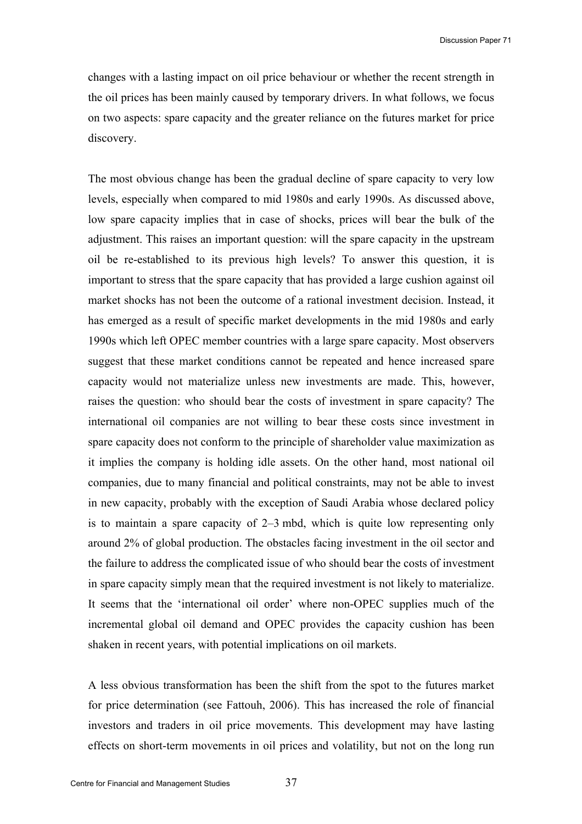changes with a lasting impact on oil price behaviour or whether the recent strength in the oil prices has been mainly caused by temporary drivers. In what follows, we focus on two aspects: spare capacity and the greater reliance on the futures market for price discovery.

The most obvious change has been the gradual decline of spare capacity to very low levels, especially when compared to mid 1980s and early 1990s. As discussed above, low spare capacity implies that in case of shocks, prices will bear the bulk of the adjustment. This raises an important question: will the spare capacity in the upstream oil be re-established to its previous high levels? To answer this question, it is important to stress that the spare capacity that has provided a large cushion against oil market shocks has not been the outcome of a rational investment decision. Instead, it has emerged as a result of specific market developments in the mid 1980s and early 1990s which left OPEC member countries with a large spare capacity. Most observers suggest that these market conditions cannot be repeated and hence increased spare capacity would not materialize unless new investments are made. This, however, raises the question: who should bear the costs of investment in spare capacity? The international oil companies are not willing to bear these costs since investment in spare capacity does not conform to the principle of shareholder value maximization as it implies the company is holding idle assets. On the other hand, most national oil companies, due to many financial and political constraints, may not be able to invest in new capacity, probably with the exception of Saudi Arabia whose declared policy is to maintain a spare capacity of 2–3 mbd, which is quite low representing only around 2% of global production. The obstacles facing investment in the oil sector and the failure to address the complicated issue of who should bear the costs of investment in spare capacity simply mean that the required investment is not likely to materialize. It seems that the 'international oil order' where non-OPEC supplies much of the incremental global oil demand and OPEC provides the capacity cushion has been shaken in recent years, with potential implications on oil markets.

A less obvious transformation has been the shift from the spot to the futures market for price determination (see Fattouh, 2006). This has increased the role of financial investors and traders in oil price movements. This development may have lasting effects on short-term movements in oil prices and volatility, but not on the long run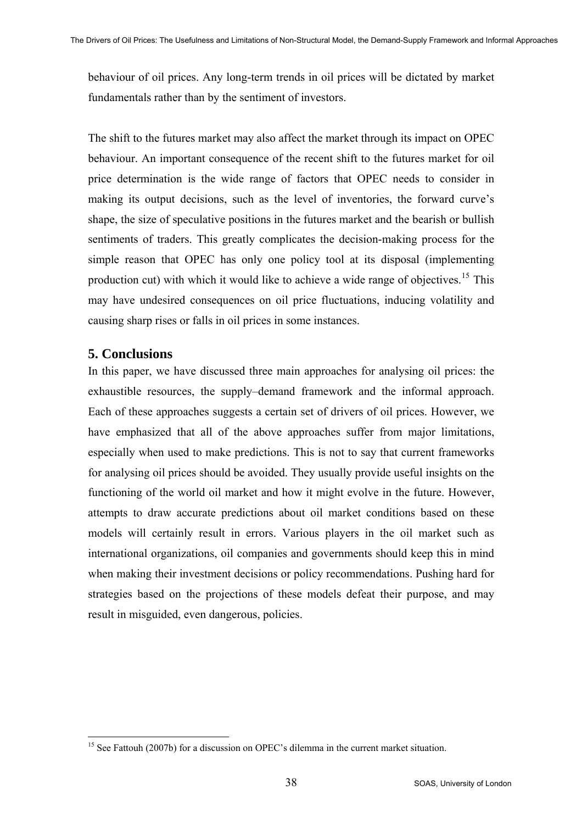behaviour of oil prices. Any long-term trends in oil prices will be dictated by market fundamentals rather than by the sentiment of investors.

The shift to the futures market may also affect the market through its impact on OPEC behaviour. An important consequence of the recent shift to the futures market for oil price determination is the wide range of factors that OPEC needs to consider in making its output decisions, such as the level of inventories, the forward curve's shape, the size of speculative positions in the futures market and the bearish or bullish sentiments of traders. This greatly complicates the decision-making process for the simple reason that OPEC has only one policy tool at its disposal (implementing production cut) with which it would like to achieve a wide range of objectives.<sup>[15](#page-37-0)</sup> This may have undesired consequences on oil price fluctuations, inducing volatility and causing sharp rises or falls in oil prices in some instances.

# **5. Conclusions**

In this paper, we have discussed three main approaches for analysing oil prices: the exhaustible resources, the supply–demand framework and the informal approach. Each of these approaches suggests a certain set of drivers of oil prices. However, we have emphasized that all of the above approaches suffer from major limitations, especially when used to make predictions. This is not to say that current frameworks for analysing oil prices should be avoided. They usually provide useful insights on the functioning of the world oil market and how it might evolve in the future. However, attempts to draw accurate predictions about oil market conditions based on these models will certainly result in errors. Various players in the oil market such as international organizations, oil companies and governments should keep this in mind when making their investment decisions or policy recommendations. Pushing hard for strategies based on the projections of these models defeat their purpose, and may result in misguided, even dangerous, policies.

<span id="page-37-0"></span> $\overline{a}$ <sup>15</sup> See Fattouh (2007b) for a discussion on OPEC's dilemma in the current market situation.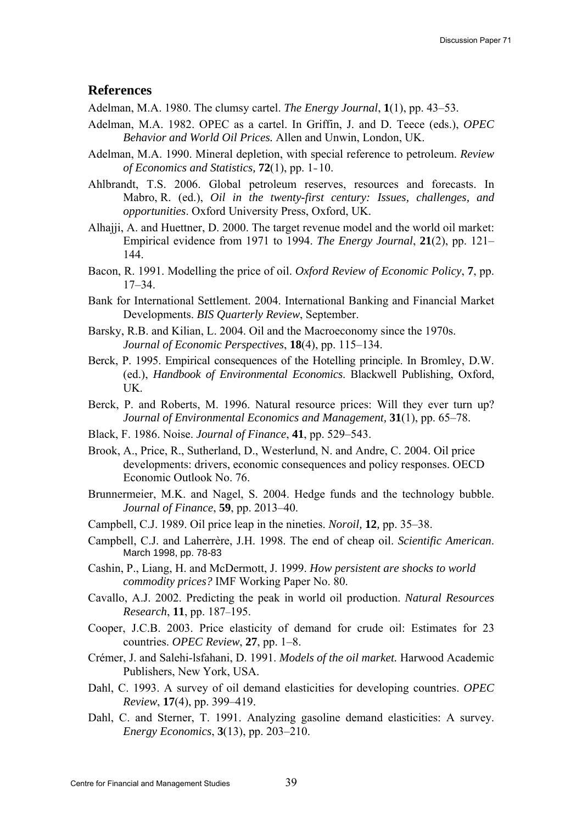#### **References**

- Adelman, M.A. 1980. The clumsy cartel. *The Energy Journal*, **1**(1), pp. 43–53.
- Adelman, M.A. 1982. OPEC as a cartel. In Griffin, J. and D. Teece (eds.), *OPEC Behavior and World Oil Prices.* Allen and Unwin, London, UK.
- Adelman, M.A. 1990. Mineral depletion, with special reference to petroleum. *Review of Economics and Statistics,* **72**(1), pp. 1–10.
- Ahlbrandt, T.S. 2006. Global petroleum reserves, resources and forecasts. In Mabro, R. (ed.), *Oil in the twenty-first century: Issues, challenges, and opportunities*. Oxford University Press, Oxford, UK.
- Alhajji, A. and Huettner, D. 2000. The target revenue model and the world oil market: Empirical evidence from 1971 to 1994. *The Energy Journal*, **21**(2), pp. 121– 144.
- Bacon, R. 1991. Modelling the price of oil. *Oxford Review of Economic Policy*, **7**, pp. 17–34.
- Bank for International Settlement. 2004. International Banking and Financial Market Developments. *BIS Quarterly Review*, September.
- Barsky, R.B. and Kilian, L. 2004. Oil and the Macroeconomy since the 1970s. *Journal of Economic Perspectives*, **18**(4), pp. 115–134.
- Berck, P. 1995. Empirical consequences of the Hotelling principle. In Bromley, D.W. (ed.), *Handbook of Environmental Economics*. Blackwell Publishing, Oxford, UK.
- Berck, P. and Roberts, M. 1996. Natural resource prices: Will they ever turn up? *Journal of Environmental Economics and Management,* **31**(1), pp. 65–78.
- Black, F. 1986. Noise. *Journal of Finance*, **41**, pp. 529–543.
- Brook, A., Price, R., Sutherland, D., Westerlund, N. and Andre, C. 2004. Oil price developments: drivers, economic consequences and policy responses. OECD Economic Outlook No. 76.
- Brunnermeier, M.K. and Nagel, S. 2004. Hedge funds and the technology bubble. *Journal of Finance*, **59**, pp. 2013–40.
- Campbell, C.J. 1989. Oil price leap in the nineties. *Noroil,* **12***,* pp. 35–38.
- Campbell, C.J. and Laherrère, J.H. 1998. The end of cheap oil. *Scientific American*. March 1998, pp. 78-83
- Cashin, P., Liang, H. and McDermott, J. 1999. *How persistent are shocks to world commodity prices?* IMF Working Paper No. 80.
- Cavallo, A.J. 2002. Predicting the peak in world oil production. *Natural Resources Research*, **11**, pp. 187–195.
- Cooper, J.C.B. 2003. Price elasticity of demand for crude oil: Estimates for 23 countries. *OPEC Review*, **27**, pp. 1–8.
- Crémer, J. and Salehi-lsfahani, D. 1991. *Models of the oil market.* Harwood Academic Publishers, New York, USA.
- Dahl, C. 1993. A survey of oil demand elasticities for developing countries. *OPEC Review*, **17**(4), pp. 399–419.
- Dahl, C. and Sterner, T. 1991. Analyzing gasoline demand elasticities: A survey. *Energy Economics*, **3**(13), pp. 203–210.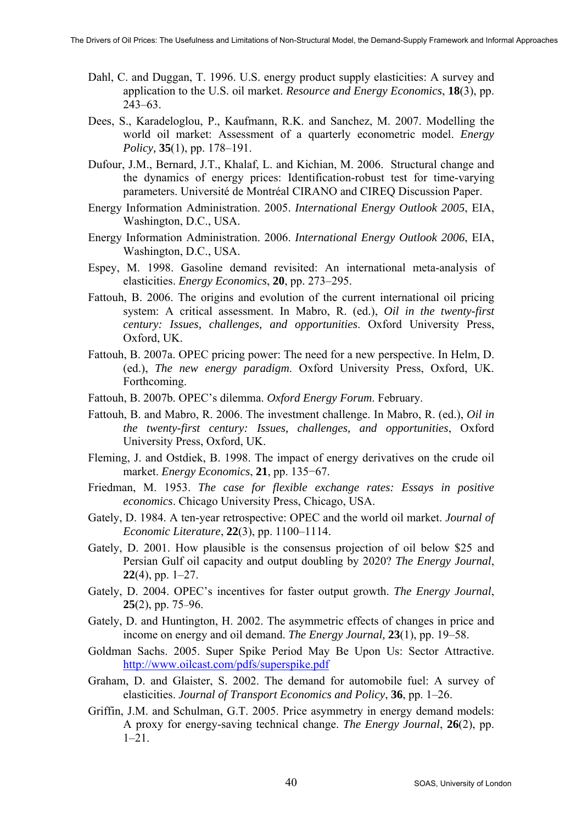- Dahl, C. and Duggan, T. 1996. U.S. energy product supply elasticities: A survey and application to the U.S. oil market. *Resource and Energy Economics*, **18**(3), pp. 243–63.
- Dees, S., Karadeloglou, P., Kaufmann, R.K. and Sanchez, M. 2007. Modelling the world oil market: Assessment of a quarterly econometric model. *Energy Policy,* **35**(1), pp. 178–191.
- Dufour, J.M., Bernard, J.T., Khalaf, L. and Kichian, M. 2006. Structural change and the dynamics of energy prices: Identification-robust test for time-varying parameters. Université de Montréal CIRANO and CIREQ Discussion Paper.
- Energy Information Administration. 2005. *International Energy Outlook 2005*, EIA, Washington, D.C., USA.
- Energy Information Administration. 2006. *International Energy Outlook 2006*, EIA, Washington, D.C., USA.
- Espey, M. 1998. Gasoline demand revisited: An international meta-analysis of elasticities. *Energy Economics*, **20**, pp. 273–295.
- Fattouh, B. 2006. The origins and evolution of the current international oil pricing system: A critical assessment. In Mabro, R. (ed.), *Oil in the twenty-first century: Issues, challenges, and opportunities*. Oxford University Press, Oxford, UK.
- Fattouh, B. 2007a. OPEC pricing power: The need for a new perspective. In Helm, D. (ed.), *The new energy paradigm*. Oxford University Press, Oxford, UK. Forthcoming.
- Fattouh, B. 2007b. OPEC's dilemma. *Oxford Energy Forum*. February.
- Fattouh, B. and Mabro, R. 2006. The investment challenge. In Mabro, R. (ed.), *Oil in the twenty-first century: Issues, challenges, and opportunities*, Oxford University Press, Oxford, UK.
- Fleming, J. and Ostdiek, B. 1998. The impact of energy derivatives on the crude oil market. *Energy Economics*, **21**, pp. 135−67.
- Friedman, M. 1953. *The case for flexible exchange rates: Essays in positive economics*. Chicago University Press, Chicago, USA.
- Gately, D. 1984. A ten-year retrospective: OPEC and the world oil market. *Journal of Economic Literature*, **22**(3), pp. 1100–1114.
- Gately, D. 2001. How plausible is the consensus projection of oil below \$25 and Persian Gulf oil capacity and output doubling by 2020? *The Energy Journal*, **22**(4), pp. 1–27.
- Gately, D. 2004. OPEC's incentives for faster output growth. *The Energy Journal*, **25**(2), pp. 75–96.
- Gately, D. and Huntington, H. 2002. The asymmetric effects of changes in price and income on energy and oil demand. *The Energy Journal,* **23**(1), pp. 19–58.
- Goldman Sachs. 2005. Super Spike Period May Be Upon Us: Sector Attractive. <http://www.oilcast.com/pdfs/superspike.pdf>
- Graham, D. and Glaister, S. 2002. The demand for automobile fuel: A survey of elasticities. *Journal of Transport Economics and Policy*, **36**, pp. 1–26.
- Griffin, J.M. and Schulman, G.T. 2005. Price asymmetry in energy demand models: A proxy for energy-saving technical change. *The Energy Journal*, **26**(2), pp.  $1-21$ .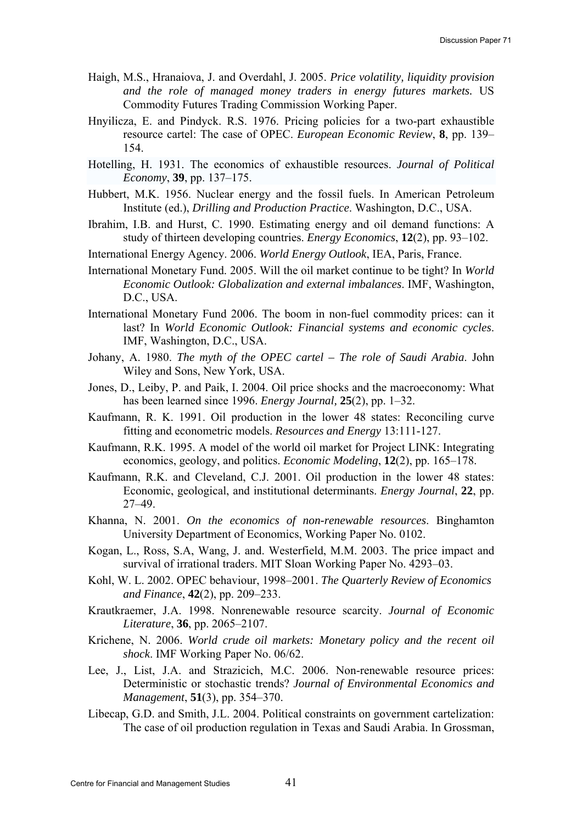- Haigh, M.S., Hranaiova, J. and Overdahl, J. 2005. *Price volatility, liquidity provision and the role of managed money traders in energy futures markets.* US Commodity Futures Trading Commission Working Paper.
- Hnyilicza, E. and Pindyck. R.S. 1976. Pricing policies for a two-part exhaustible resource cartel: The case of OPEC. *European Economic Review*, **8**, pp. 139– 154.
- Hotelling, H. 1931. The economics of exhaustible resources. *Journal of Political Economy*, **39**, pp. 137–175.
- Hubbert, M.K. 1956. Nuclear energy and the fossil fuels. In American Petroleum Institute (ed.), *Drilling and Production Practice*. Washington, D.C., USA.
- Ibrahim, I.B. and Hurst, C. 1990. Estimating energy and oil demand functions: A study of thirteen developing countries. *Energy Economics*, **12**(2), pp. 93–102.
- International Energy Agency. 2006. *World Energy Outlook*, IEA, Paris, France.
- International Monetary Fund. 2005. Will the oil market continue to be tight? In *World Economic Outlook: Globalization and external imbalances*. IMF, Washington, D.C., USA.
- International Monetary Fund 2006. The boom in non-fuel commodity prices: can it last? In *World Economic Outlook: Financial systems and economic cycles*. IMF, Washington, D.C., USA.
- Johany, A. 1980. *The myth of the OPEC cartel The role of Saudi Arabia*. John Wiley and Sons, New York, USA.
- Jones, D., Leiby, P. and Paik, I. 2004. Oil price shocks and the macroeconomy: What has been learned since 1996. *Energy Journal,* **25**(2), pp. 1–32.
- Kaufmann, R. K. 1991. Oil production in the lower 48 states: Reconciling curve fitting and econometric models. *Resources and Energy* 13:111-127.
- Kaufmann, R.K. 1995. A model of the world oil market for Project LINK: Integrating economics, geology, and politics. *Economic Modeling*, **12**(2), pp. 165–178.
- Kaufmann, R.K. and Cleveland, C.J. 2001. Oil production in the lower 48 states: Economic, geological, and institutional determinants. *Energy Journal*, **22**, pp. 27–49.
- Khanna, N. 2001. *On the economics of non-renewable resources*. Binghamton University Department of Economics, Working Paper No. 0102.
- Kogan, L., Ross, S.A, Wang, J. and. Westerfield, M.M. 2003. The price impact and survival of irrational traders. MIT Sloan Working Paper No. 4293–03.
- Kohl, W. L. 2002. OPEC behaviour, 1998–2001. *The Quarterly Review of Economics and Finance*, **42**(2), pp. 209–233.
- Krautkraemer, J.A. 1998. Nonrenewable resource scarcity. *Journal of Economic Literature*, **36**, pp. 2065–2107.
- Krichene, N. 2006. *World crude oil markets: Monetary policy and the recent oil shock*. IMF Working Paper No. 06/62.
- Lee, J., List, J.A. and Strazicich, M.C. 2006. Non-renewable resource prices: Deterministic or stochastic trends? *Journal of Environmental Economics and Management*, **51**(3), pp. 354–370.
- Libecap, G.D. and Smith, J.L. 2004. Political constraints on government cartelization: The case of oil production regulation in Texas and Saudi Arabia. In Grossman,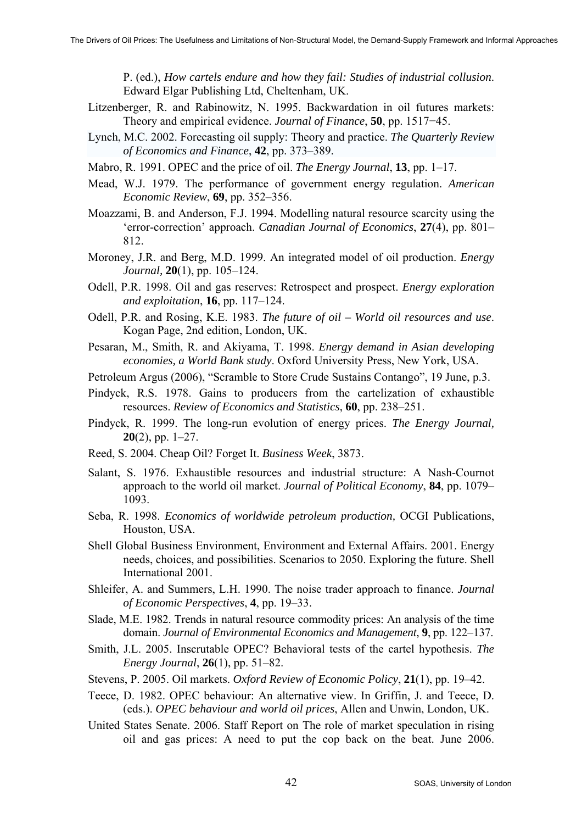P. (ed.), *How cartels endure and how they fail: Studies of industrial collusion*. Edward Elgar Publishing Ltd, Cheltenham, UK.

- Litzenberger, R. and Rabinowitz, N. 1995. Backwardation in oil futures markets: Theory and empirical evidence. *Journal of Finance*, **50**, pp. 1517−45.
- Lynch, M.C. 2002. Forecasting oil supply: Theory and practice. *The Quarterly Review of Economics and Finance*, **42**, pp. 373–389.
- Mabro, R. 1991. OPEC and the price of oil. *The Energy Journal*, **13**, pp. 1–17.
- Mead, W.J. 1979. The performance of government energy regulation. *American Economic Review*, **69**, pp. 352–356.
- Moazzami, B. and Anderson, F.J. 1994. Modelling natural resource scarcity using the 'error-correction' approach. *Canadian Journal of Economics*, **27**(4), pp. 801– 812.
- Moroney, J.R. and Berg, M.D. 1999. An integrated model of oil production. *Energy Journal,* **20**(1), pp. 105–124.
- Odell, P.R. 1998. Oil and gas reserves: Retrospect and prospect. *Energy exploration and exploitation*, **16**, pp. 117–124.
- Odell, P.R. and Rosing, K.E. 1983. *The future of oil World oil resources and use*. Kogan Page, 2nd edition, London, UK.
- Pesaran, M., Smith, R. and Akiyama, T. 1998. *Energy demand in Asian developing economies, a World Bank study*. Oxford University Press, New York, USA.
- Petroleum Argus (2006), "Scramble to Store Crude Sustains Contango", 19 June, p.3.
- Pindyck, R.S. 1978. Gains to producers from the cartelization of exhaustible resources. *Review of Economics and Statistics*, **60**, pp. 238–251.
- Pindyck, R. 1999. The long-run evolution of energy prices. *The Energy Journal,* **20**(2), pp. 1–27.
- Reed, S. 2004. Cheap Oil? Forget It. *Business Week*, 3873.
- Salant, S. 1976. Exhaustible resources and industrial structure: A Nash-Cournot approach to the world oil market. *Journal of Political Economy*, **84**, pp. 1079– 1093.
- Seba, R. 1998. *Economics of worldwide petroleum production,* OCGI Publications, Houston, USA.
- Shell Global Business Environment, Environment and External Affairs. 2001. Energy needs, choices, and possibilities. Scenarios to 2050. Exploring the future. Shell International 2001.
- Shleifer, A. and Summers, L.H. 1990. The noise trader approach to finance. *Journal of Economic Perspectives*, **4**, pp. 19–33.
- Slade, M.E. 1982. Trends in natural resource commodity prices: An analysis of the time domain. *Journal of Environmental Economics and Management*, **9**, pp. 122–137.
- Smith, J.L. 2005. Inscrutable OPEC? Behavioral tests of the cartel hypothesis. *The Energy Journal*, **26**(1), pp. 51–82.
- Stevens, P. 2005. Oil markets. *Oxford Review of Economic Policy*, **21**(1), pp. 19–42.
- Teece, D. 1982. OPEC behaviour: An alternative view. In Griffin, J. and Teece, D. (eds.). *OPEC behaviour and world oil prices*, Allen and Unwin, London, UK.
- United States Senate. 2006. Staff Report on The role of market speculation in rising oil and gas prices: A need to put the cop back on the beat. June 2006.